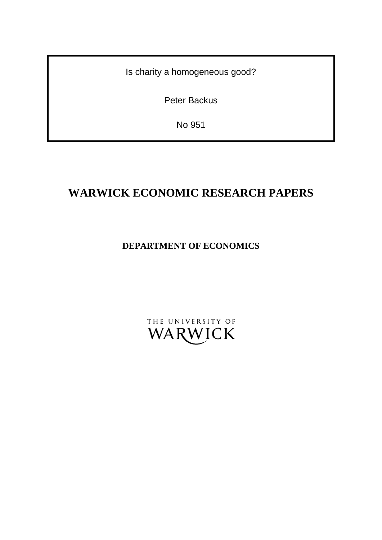Is charity a homogeneous good?

Peter Backus

No 951

# **WARWICK ECONOMIC RESEARCH PAPERS**

## **DEPARTMENT OF ECONOMICS**

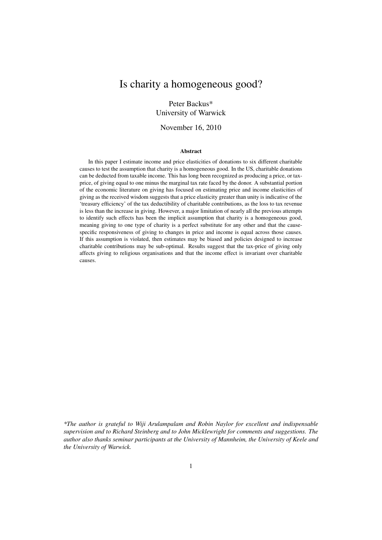## Is charity a homogeneous good?

### Peter Backus\* University of Warwick

### November 16, 2010

#### Abstract

In this paper I estimate income and price elasticities of donations to six different charitable causes to test the assumption that charity is a homogeneous good. In the US, charitable donations can be deducted from taxable income. This has long been recognized as producing a price, or taxprice, of giving equal to one minus the marginal tax rate faced by the donor. A substantial portion of the economic literature on giving has focused on estimating price and income elasticities of giving as the received wisdom suggests that a price elasticity greater than unity is indicative of the 'treasury efficiency' of the tax deductibility of charitable contributions, as the loss to tax revenue is less than the increase in giving. However, a major limitation of nearly all the previous attempts to identify such effects has been the implicit assumption that charity is a homogeneous good, meaning giving to one type of charity is a perfect substitute for any other and that the causespecific responsiveness of giving to changes in price and income is equal across those causes. If this assumption is violated, then estimates may be biased and policies designed to increase charitable contributions may be sub-optimal. Results suggest that the tax-price of giving only affects giving to religious organisations and that the income effect is invariant over charitable causes.

*<sup>\*</sup>The author is grateful to Wiji Arulampalam and Robin Naylor for excellent and indispensable supervision and to Richard Steinberg and to John Micklewright for comments and suggestions. The author also thanks seminar participants at the University of Mannheim, the University of Keele and the University of Warwick.*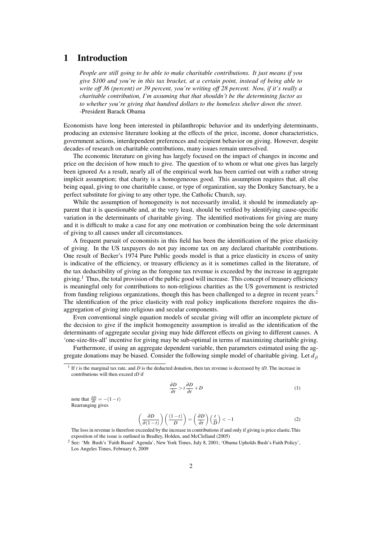### 1 Introduction

*People are still going to be able to make charitable contributions. It just means if you give \$100 and you're in this tax bracket, at a certain point, instead of being able to write off 36 (percent) or 39 percent, you're writing off 28 percent. Now, if it's really a charitable contribution, I'm assuming that that shouldn't be the determining factor as to whether you're giving that hundred dollars to the homeless shelter down the street.* -President Barack Obama

Economists have long been interested in philanthropic behavior and its underlying determinants, producing an extensive literature looking at the effects of the price, income, donor characteristics, government actions, interdependent preferences and recipient behavior on giving. However, despite decades of research on charitable contributions, many issues remain unresolved.

The economic literature on giving has largely focused on the impact of changes in income and price on the decision of how much to give. The question of to whom or what one gives has largely been ignored As a result, nearly all of the empirical work has been carried out with a rather strong implicit assumption; that charity is a homogeneous good. This assumption requires that, all else being equal, giving to one charitable cause, or type of organization, say the Donkey Sanctuary, be a perfect substitute for giving to any other type, the Catholic Church, say.

While the assumption of homogeneity is not necessarily invalid, it should be immediately apparent that it is questionable and, at the very least, should be verified by identifying cause-specific variation in the determinants of charitable giving. The identified motivations for giving are many and it is difficult to make a case for any one motivation or combination being the sole determinant of giving to all causes under all circumstances.

A frequent pursuit of economists in this field has been the identification of the price elasticity of giving. In the US taxpayers do not pay income tax on any declared charitable contributions. One result of Becker's 1974 Pure Public goods model is that a price elasticity in excess of unity is indicative of the efficiency, or treasury efficiency as it is sometimes called in the literature, of the tax deductibility of giving as the foregone tax revenue is exceeded by the increase in aggregate giving.<sup>1</sup> Thus, the total provision of the public good will increase. This concept of treasury efficiency is meaningful only for contributions to non-religious charities as the US government is restricted from funding religious organizations, though this has been challenged to a degree in recent years.<sup>2</sup> The identification of the price elasticity with real policy implications therefore requires the disaggregation of giving into religious and secular components.

Even conventional single equation models of secular giving will offer an incomplete picture of the decision to give if the implicit homogeneity assumption is invalid as the identification of the determinants of aggregate secular giving may hide different effects on giving to different causes. A 'one-size-fits-all' incentive for giving may be sub-optimal in terms of maximizing charitable giving.

Furthermore, if using an aggregate dependent variable, then parameters estimated using the aggregate donations may be biased. Consider the following simple model of charitable giving. Let  $d_{ij}$ 

$$
\frac{\partial D}{\partial t} > t \frac{\partial D}{\partial t} + D \tag{1}
$$

note that  $\frac{\partial D}{\partial t} = -(1 - t)$ Rearranging gives

$$
\left(\frac{\partial D}{\partial (1-t)}\right) \left(\frac{(1-t)}{D}\right) = \left(\frac{\partial D}{\partial t}\right) \left(\frac{t}{D}\right) < -1\tag{2}
$$

The loss in revenue is therefore exceeded by the increase in contributions if and only if giving is price elastic.This exposition of the issue is outlined in Bradley, Holden, and McClelland (2005)

 $<sup>1</sup>$  If *t* is the marginal tax rate, and *D* is the deducted donation, then tax revenue is decreased by *tD*. The increase in</sup> contributions will then exceed *tD* if

<sup>&</sup>lt;sup>2</sup> See: 'Mr. Bush's 'Faith Based' Agenda', New York Times, July 8, 2001; 'Obama Upholds Bush's Faith Policy', Los Angeles Times, February 6, 2009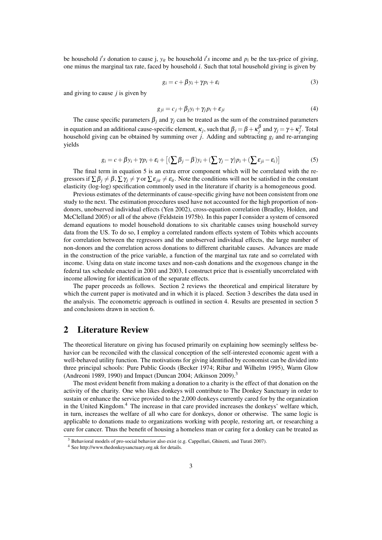be household *i*'s donation to cause j,  $y_{it}$  be household *i*'s income and  $p_i$  be the tax-price of giving, one minus the marginal tax rate, faced by household *i*. Such that total household giving is given by

$$
g_i = c + \beta y_i + \gamma p_i + \varepsilon_i \tag{3}
$$

and giving to cause *j* is given by

$$
g_{ji} = c_j + \beta_j y_i + \gamma_j p_i + \varepsilon_{ji}
$$
\n<sup>(4)</sup>

The cause specific parameters  $\beta_i$  and  $\gamma_i$  can be treated as the sum of the constrained parameters in equation and an additional cause-specific element,  $\kappa_j$ , such that  $\beta_j = \beta + \kappa_j^{\beta}$  and  $\gamma_j = \gamma + \kappa_j^{\gamma}$ . Total household giving can be obtained by summing over *j*. Adding and subtracting *gi* and re-arranging yields

$$
g_i = c + \beta y_i + \gamma p_i + \varepsilon_i + \left[ (\sum \beta_j - \beta) y_i + (\sum \gamma_j - \gamma) p_i + (\sum \varepsilon_{ji} - \varepsilon_i) \right]
$$
(5)

The final term in equation 5 is an extra error component which will be correlated with the regressors if  $\sum \beta_i \neq \beta$ ,  $\sum \gamma_i \neq \gamma$  or  $\sum \varepsilon_{ii} \neq \varepsilon_{ii}$ . Note the conditions will not be satisfied in the constant elasticity (log-log) specification commonly used in the literature if charity is a homogeneous good.

Previous estimates of the determinants of cause-specific giving have not been consistent from one study to the next. The estimation procedures used have not accounted for the high proportion of nondonors, unobserved individual effects (Yen 2002), cross-equation correlation (Bradley, Holden, and McClelland 2005) or all of the above (Feldstein 1975b). In this paper I consider a system of censored demand equations to model household donations to six charitable causes using household survey data from the US. To do so, I employ a correlated random effects system of Tobits which accounts for correlation between the regressors and the unobserved individual effects, the large number of non-donors and the correlation across donations to different charitable causes. Advances are made in the construction of the price variable, a function of the marginal tax rate and so correlated with income. Using data on state income taxes and non-cash donations and the exogenous change in the federal tax schedule enacted in 2001 and 2003, I construct price that is essentially uncorrelated with income allowing for identification of the separate effects.

The paper proceeds as follows. Section 2 reviews the theoretical and empirical literature by which the current paper is motivated and in which it is placed. Section 3 describes the data used in the analysis. The econometric approach is outlined in section 4. Results are presented in section 5 and conclusions drawn in section 6.

### 2 Literature Review

The theoretical literature on giving has focused primarily on explaining how seemingly selfless behavior can be reconciled with the classical conception of the self-interested economic agent with a well-behaved utility function. The motivations for giving identified by economist can be divided into three principal schools: Pure Public Goods (Becker 1974; Ribar and Wilhelm 1995), Warm Glow (Andreoni 1989, 1990) and Impact (Duncan 2004; Atkinson 2009).<sup>3</sup>

The most evident benefit from making a donation to a charity is the effect of that donation on the activity of the charity. One who likes donkeys will contribute to The Donkey Sanctuary in order to sustain or enhance the service provided to the 2,000 donkeys currently cared for by the organization in the United Kingdom.4 The increase in that care provided increases the donkeys' welfare which, in turn, increases the welfare of all who care for donkeys, donor or otherwise. The same logic is applicable to donations made to organizations working with people, restoring art, or researching a cure for cancer. Thus the benefit of housing a homeless man or caring for a donkey can be treated as

<sup>&</sup>lt;sup>3</sup> Behavioral models of pro-social behavior also exist (e.g. Cappellari, Ghinetti, and Turati 2007).

<sup>4</sup> See http://www.thedonkeysanctuary.org.uk for details.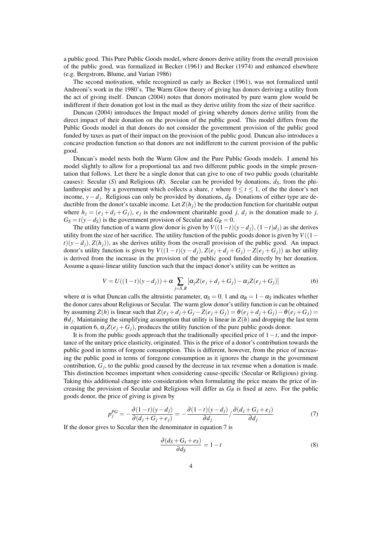a public good. This Pure Public Goods model, where donors derive utility from the overall provision of the public good, was formalized in Becker (1961) and Becker (1974) and enhanced elsewhere (e.g. Bergstrom, Blume, and Varian 1986)

The second motivation, while recognized as early as Becker (1961), was not formalized until Andreoni's work in the 1980's. The Warm Glow theory of giving has donors deriving a utility from the act of giving itself. Duncan (2004) notes that donors motivated by pure warm glow would be indifferent if their donation got lost in the mail as they derive utility from the size of their sacrifice.

Duncan (2004) introduces the Impact model of giving whereby donors derive utility from the direct impact of their donation on the provision of the public good. This model differs from the Public Goods model in that donors do not consider the government provision of the public good funded by taxes as part of their impact on the provision of the public good. Duncan also introduces a concave production function so that donors are not indifferent to the current provision of the public good.

Duncan's model nests both the Warm Glow and the Pure Public Goods models. I amend his model slightly to allow for a proportional tax and two different public goods in the simple presentation that follows. Let there be a single donor that can give to one of two public goods (charitable causes): Secular (*S*) and Religious (*R*). Secular can be provided by donations,  $d_S$ , from the philanthropist and by a government which collects a share, *t* where  $0 \le t \le 1$ , of the the donor's net income, *y*−*dj*. Religious can only be provided by donations, *dR*. Donations of either type are deductible from the donor's taxable income. Let  $Z(h_i)$  be the production function for charitable output where  $h_j = (e_j + d_j + G_j)$ ,  $e_j$  is the endowment charitable good *j*,  $d_j$  is the donation made to *j*,  $G_S = t(y - d_S)$  is the government provision of Secular and  $G_R = 0$ .

The utility function of a warm glow donor is given by  $V((1-t)(y-d_i), (1-t)d_i)$  as she derives utility from the size of her sacrifice. The utility function of the public goods donor is given by  $V((1-\alpha))^2$  $t$ )(*y* − *d<sub>i</sub>*), *Z*(*h<sub>i</sub>*)), as she derives utility from the overall provision of the public good. An impact donor's utility function is given by  $V((1-t)(y-d_i), Z(e_i+d_i+G_i) - Z(e_i+G_i))$  as her utility is derived from the increase in the provision of the public good funded directly by her donation. Assume a quasi-linear utility function such that the impact donor's utility can be written as

$$
V = U((1-t)(y-d_j)) + \alpha \sum_{j=S,R} [\alpha_j Z(e_j + d_j + G_j) - \alpha_j Z(e_j + G_j)]
$$
(6)

where  $\alpha$  is what Duncan calls the altruistic parameter,  $\alpha_s = 0$ , 1 and  $\alpha_R = 1 - \alpha_s$  indicates whether the donor cares about Religious or Secular. The warm glow donor's utility function is can be obtained by assuming *Z*(*h*) is linear such that  $Z(e_j + d_j + G_j - Z(e_j + G_j)) = \theta(e_j + d_j + G_j) - \theta(e_j + G_j) =$  $\theta d_i$ . Maintaining the simplifying assumption that utility is linear in  $Z(h)$  and dropping the last term in equation 6,  $\alpha_i Z(e_i + G_j)$ , produces the utility function of the pure public goods donor.

It is from the public goods approach that the traditionally specified price of 1−*t*, and the importance of the unitary price elasticity, originated. This is the price of a donor's contribution towards the public good in terms of forgone consumption. This is different, however, from the price of increasing the public good in terms of foregone consumption as it ignores the change in the government contribution,  $G_j$ , to the public good caused by the decrease in tax revenue when a donation is made. This distinction becomes important when considering cause-specific (Secular or Religious) giving. Taking this additional change into consideration when formulating the price means the price of increasing the provision of Secular and Religious will differ as *GR* is fixed at zero. For the public goods donor, the price of giving is given by

$$
p_j^{PG} = -\frac{\partial (1-t)(y-d_j)}{\partial (d_j + G_j + e_j)} = -\frac{\partial (1-t)(y-d_j)}{\partial d_j} / \frac{\partial (d_j + G_j + e_j)}{\partial d_j}
$$
(7)

If the donor gives to Secular then the denominator in equation 7 is

$$
\frac{\partial (d_S + G_s + e_S)}{\partial d_S} = 1 - t \tag{8}
$$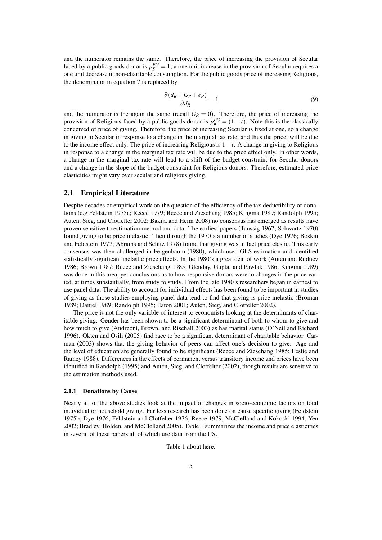and the numerator remains the same. Therefore, the price of increasing the provision of Secular faced by a public goods donor is  $p_S^{PG} = 1$ ; a one unit increase in the provision of Secular requires a one unit decrease in non-charitable consumption. For the public goods price of increasing Religious, the denominator in equation 7 is replaced by

$$
\frac{\partial (d_R + G_R + e_R)}{\partial d_R} = 1 \tag{9}
$$

and the numerator is the again the same (recall  $G_R = 0$ ). Therefore, the price of increasing the provision of Religious faced by a public goods donor is  $p_R^{PG} = (1 - t)$ . Note this is the classically conceived of price of giving. Therefore, the price of increasing Secular is fixed at one, so a change in giving to Secular in response to a change in the marginal tax rate, and thus the price, will be due to the income effect only. The price of increasing Religious is  $1-t$ . A change in giving to Religious in response to a change in the marginal tax rate will be due to the price effect only. In other words, a change in the marginal tax rate will lead to a shift of the budget constraint for Secular donors and a change in the slope of the budget constraint for Religious donors. Therefore, estimated price elasticities might vary over secular and religious giving.

### 2.1 Empirical Literature

Despite decades of empirical work on the question of the efficiency of the tax deductibility of donations (e.g Feldstein 1975a; Reece 1979; Reece and Zieschang 1985; Kingma 1989; Randolph 1995; Auten, Sieg, and Clotfelter 2002; Bakija and Heim 2008) no consensus has emerged as results have proven sensitive to estimation method and data. The earliest papers (Taussig 1967; Schwartz 1970) found giving to be price inelastic. Then through the 1970's a number of studies (Dye 1976; Boskin and Feldstein 1977; Abrams and Schitz 1978) found that giving was in fact price elastic. This early consensus was then challenged in Feigenbaum (1980), which used GLS estimation and identified statistically significant inelastic price effects. In the 1980's a great deal of work (Auten and Rudney 1986; Brown 1987; Reece and Zieschang 1985; Glenday, Gupta, and Pawlak 1986; Kingma 1989) was done in this area, yet conclusions as to how responsive donors were to changes in the price varied, at times substantially, from study to study. From the late 1980's researchers began in earnest to use panel data. The ability to account for individual effects has been found to be important in studies of giving as those studies employing panel data tend to find that giving is price inelastic (Broman 1989; Daniel 1989; Randolph 1995; Eaton 2001; Auten, Sieg, and Clotfelter 2002).

The price is not the only variable of interest to economists looking at the determinants of charitable giving. Gender has been shown to be a significant determinant of both to whom to give and how much to give (Andreoni, Brown, and Rischall 2003) as has marital status (O'Neil and Richard 1996). Okten and Osili (2005) find race to be a significant determinant of charitable behavior. Carman (2003) shows that the giving behavior of peers can affect one's decision to give. Age and the level of education are generally found to be significant (Reece and Zieschang 1985; Leslie and Ramey 1988). Differences in the effects of permanent versus transitory income and prices have been identified in Randolph (1995) and Auten, Sieg, and Clotfelter (2002), though results are sensitive to the estimation methods used.

#### 2.1.1 Donations by Cause

Nearly all of the above studies look at the impact of changes in socio-economic factors on total individual or household giving. Far less research has been done on cause specific giving (Feldstein 1975b; Dye 1976; Feldstein and Clotfelter 1976; Reece 1979; McClelland and Kokoski 1994; Yen 2002; Bradley, Holden, and McClelland 2005). Table 1 summarizes the income and price elasticities in several of these papers all of which use data from the US.

Table 1 about here.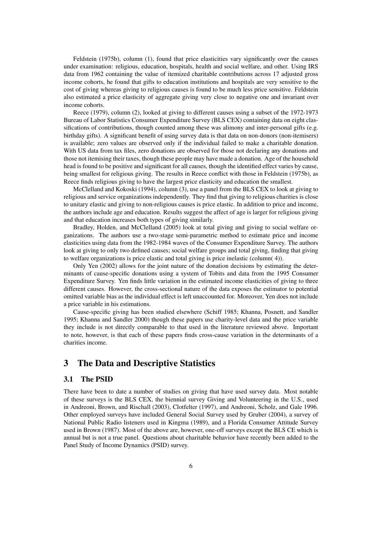Feldstein (1975b), column (1), found that price elasticities vary significantly over the causes under examination: religious, education, hospitals, health and social welfare, and other. Using IRS data from 1962 containing the value of itemized charitable contributions across 17 adjusted gross income cohorts, he found that gifts to education institutions and hospitals are very sensitive to the cost of giving whereas giving to religious causes is found to be much less price sensitive. Feldstein also estimated a price elasticity of aggregate giving very close to negative one and invariant over income cohorts.

Reece (1979), column (2), looked at giving to different causes using a subset of the 1972-1973 Bureau of Labor Statistics Consumer Expenditure Survey (BLS CEX) containing data on eight classifications of contributions, though counted among these was alimony and inter-personal gifts (e.g. birthday gifts). A significant benefit of using survey data is that data on non-donors (non-itemisers) is available; zero values are observed only if the individual failed to make a charitable donation. With US data from tax files, zero donations are observed for those not declaring any donations and those not itemising their taxes, though these people may have made a donation. Age of the household head is found to be positive and significant for all causes, though the identified effect varies by cause, being smallest for religious giving. The results in Reece conflict with those in Feldstein (1975b), as Reece finds religious giving to have the largest price elasticity and education the smallest.

McClelland and Kokoski (1994), column (3), use a panel from the BLS CEX to look at giving to religious and service organizations independently. They find that giving to religious charities is close to unitary elastic and giving to non-religious causes is price elastic. In addition to price and income, the authors include age and education. Results suggest the affect of age is larger for religious giving and that education increases both types of giving similarly.

Bradley, Holden, and McClelland (2005) look at total giving and giving to social welfare organizations. The authors use a two-stage semi-parametric method to estimate price and income elasticities using data from the 1982-1984 waves of the Consumer Expenditure Survey. The authors look at giving to only two defined causes; social welfare groups and total giving, finding that giving to welfare organizations is price elastic and total giving is price inelastic (column( 4)).

Only Yen (2002) allows for the joint nature of the donation decisions by estimating the determinants of cause-specific donations using a system of Tobits and data from the 1995 Consumer Expenditure Survey. Yen finds little variation in the estimated income elasticities of giving to three different causes. However, the cross-sectional nature of the data exposes the estimator to potential omitted variable bias as the individual effect is left unaccounted for. Moreover, Yen does not include a price variable in his estimations.

Cause-specific giving has been studied elsewhere (Schiff 1985; Khanna, Posnett, and Sandler 1995; Khanna and Sandler 2000) though these papers use charity-level data and the price variable they include is not directly comparable to that used in the literature reviewed above. Important to note, however, is that each of these papers finds cross-cause variation in the determinants of a charities income.

### 3 The Data and Descriptive Statistics

### 3.1 The PSID

There have been to date a number of studies on giving that have used survey data. Most notable of these surveys is the BLS CEX, the biennial survey Giving and Volunteering in the U.S., used in Andreoni, Brown, and Rischall (2003), Clotfelter (1997), and Andreoni, Scholz, and Gale 1996. Other employed surveys have included General Social Survey used by Gruber (2004), a survey of National Public Radio listeners used in Kingma (1989), and a Florida Consumer Attitude Survey used in Brown (1987). Most of the above are, however, one-off surveys except the BLS CE which is annual but is not a true panel. Questions about charitable behavior have recently been added to the Panel Study of Income Dynamics (PSID) survey.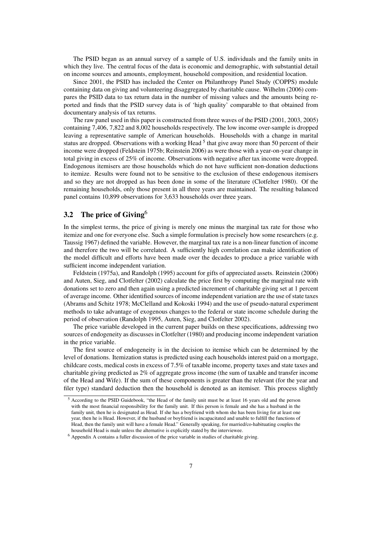The PSID began as an annual survey of a sample of U.S. individuals and the family units in which they live. The central focus of the data is economic and demographic, with substantial detail on income sources and amounts, employment, household composition, and residential location.

Since 2001, the PSID has included the Center on Philanthropy Panel Study (COPPS) module containing data on giving and volunteering disaggregated by charitable cause. Wilhelm (2006) compares the PSID data to tax return data in the number of missing values and the amounts being reported and finds that the PSID survey data is of 'high quality' comparable to that obtained from documentary analysis of tax returns.

The raw panel used in this paper is constructed from three waves of the PSID (2001, 2003, 2005) containing 7,406, 7,822 and 8,002 households respectively. The low income over-sample is dropped leaving a representative sample of American households. Households with a change in marital status are dropped. Observations with a working Head  $<sup>5</sup>$  that give away more than 50 percent of their</sup> income were dropped (Feldstein 1975b; Reinstein 2006) as were those with a year-on-year change in total giving in excess of 25% of income. Observations with negative after tax income were dropped. Endogenous itemisers are those households which do not have sufficient non-donation deductions to itemize. Results were found not to be sensitive to the exclusion of these endogenous itemisers and so they are not dropped as has been done in some of the literature (Clotfelter 1980). Of the remaining households, only those present in all three years are maintained. The resulting balanced panel contains 10,899 observations for 3,633 households over three years.

### 3.2 The price of Giving<sup>6</sup>

In the simplest terms, the price of giving is merely one minus the marginal tax rate for those who itemize and one for everyone else. Such a simple formulation is precisely how some researchers (e.g. Taussig 1967) defined the variable. However, the marginal tax rate is a non-linear function of income and therefore the two will be correlated. A sufficiently high correlation can make identification of the model difficult and efforts have been made over the decades to produce a price variable with sufficient income independent variation.

Feldstein (1975a), and Randolph (1995) account for gifts of appreciated assets. Reinstein (2006) and Auten, Sieg, and Clotfelter (2002) calculate the price first by computing the marginal rate with donations set to zero and then again using a predicted increment of charitable giving set at 1 percent of average income. Other identified sources of income independent variation are the use of state taxes (Abrams and Schitz 1978; McClelland and Kokoski 1994) and the use of pseudo-natural experiment methods to take advantage of exogenous changes to the federal or state income schedule during the period of observation (Randolph 1995, Auten, Sieg, and Clotfelter 2002).

The price variable developed in the current paper builds on these specifications, addressing two sources of endogeneity as discusses in Clotfelter (1980) and producing income independent variation in the price variable.

The first source of endogeneity is in the decision to itemise which can be determined by the level of donations. Itemization status is predicted using each households interest paid on a mortgage, childcare costs, medical costs in excess of 7.5% of taxable income, property taxes and state taxes and charitable giving predicted as 2% of aggregate gross income (the sum of taxable and transfer income of the Head and Wife). If the sum of these components is greater than the relevant (for the year and filer type) standard deduction then the household is denoted as an itemiser. This process slightly

<sup>5</sup> According to the PSID Guidebook, "the Head of the family unit must be at least 16 years old and the person with the most financial responsibility for the family unit. If this person is female and she has a husband in the family unit, then he is designated as Head. If she has a boyfriend with whom she has been living for at least one year, then he is Head. However, if the husband or boyfriend is incapacitated and unable to fulfill the functions of Head, then the family unit will have a female Head." Generally speaking, for married/co-habituating couples the household Head is male unless the alternative is explicitly stated by the interviewee.

<sup>6</sup> Appendix A contains a fuller discussion of the price variable in studies of charitable giving.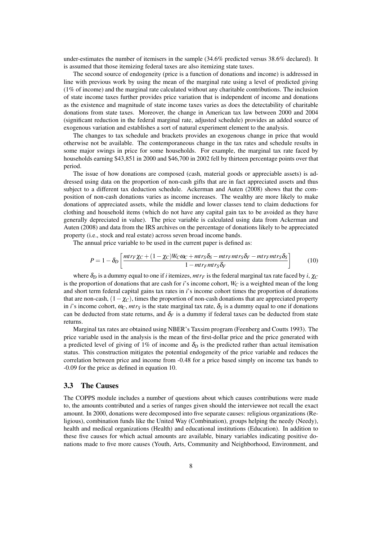under-estimates the number of itemisers in the sample (34.6% predicted versus 38.6% declared). It is assumed that those itemizing federal taxes are also itemizing state taxes.

The second source of endogeneity (price is a function of donations and income) is addressed in line with previous work by using the mean of the marginal rate using a level of predicted giving (1% of income) and the marginal rate calculated without any charitable contributions. The inclusion of state income taxes further provides price variation that is independent of income and donations as the existence and magnitude of state income taxes varies as does the detectability of charitable donations from state taxes. Moreover, the change in American tax law between 2000 and 2004 (significant reduction in the federal marginal rate, adjusted schedule) provides an added source of exogenous variation and establishes a sort of natural experiment element to the analysis.

The changes to tax schedule and brackets provides an exogenous change in price that would otherwise not be available. The contemporaneous change in the tax rates and schedule results in some major swings in price for some households. For example, the marginal tax rate faced by households earning \$43,851 in 2000 and \$46,700 in 2002 fell by thirteen percentage points over that period.

The issue of how donations are composed (cash, material goods or appreciable assets) is addressed using data on the proportion of non-cash gifts that are in fact appreciated assets and thus subject to a different tax deduction schedule. Ackerman and Auten (2008) shows that the composition of non-cash donations varies as income increases. The wealthy are more likely to make donations of appreciated assets, while the middle and lower classes tend to claim deductions for clothing and household items (which do not have any capital gain tax to be avoided as they have generally depreciated in value). The price variable is calculated using data from Ackerman and Auten (2008) and data from the IRS archives on the percentage of donations likely to be appreciated property (i.e., stock and real estate) across seven broad income bands.

The annual price variable to be used in the current paper is defined as:

$$
P = 1 - \delta_D \left[ \frac{mtr_F \chi_C + (1 - \chi_C)W_C \omega_C + mtr_S \delta_S - mtr_F mtr_S \delta_F - mtr_F mtr_S \delta_S}{1 - mtr_F mtr_S \delta_F} \right]
$$
(10)

where  $\delta_D$  is a dummy equal to one if *i* itemizes,  $mtr_F$  is the federal marginal tax rate faced by *i*,  $\chi_C$ is the proportion of donations that are cash for  $i$ 's income cohort,  $W_C$  is a weighted mean of the long and short term federal capital gains tax rates in *i*'s income cohort times the proportion of donations that are non-cash,  $(1-\chi_C)$ , times the proportion of non-cash donations that are appreciated property in *i*'s income cohort,  $\omega_C$ ,  $mtr_S$  is the state marginal tax rate,  $\delta_S$  is a dummy equal to one if donations can be deducted from state returns, and  $\delta_F$  is a dummy if federal taxes can be deducted from state returns.

Marginal tax rates are obtained using NBER's Taxsim program (Feenberg and Coutts 1993). The price variable used in the analysis is the mean of the first-dollar price and the price generated with a predicted level of giving of 1% of income and  $\delta_D$  is the predicted rather than actual itemisation status. This construction mitigates the potential endogeneity of the price variable and reduces the correlation between price and income from -0.48 for a price based simply on income tax bands to -0.09 for the price as defined in equation 10.

#### 3.3 The Causes

The COPPS module includes a number of questions about which causes contributions were made to, the amounts contributed and a series of ranges given should the interviewee not recall the exact amount. In 2000, donations were decomposed into five separate causes: religious organizations (Religious), combination funds like the United Way (Combination), groups helping the needy (Needy), health and medical organizations (Health) and educational institutions (Education). In addition to these five causes for which actual amounts are available, binary variables indicating positive donations made to five more causes (Youth, Arts, Community and Neighborhood, Environment, and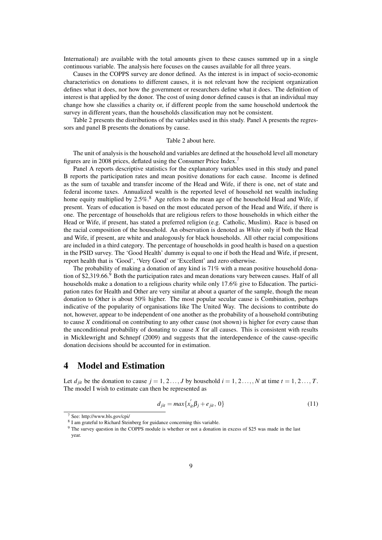International) are available with the total amounts given to these causes summed up in a single continuous variable. The analysis here focuses on the causes available for all three years.

Causes in the COPPS survey are donor defined. As the interest is in impact of socio-economic characteristics on donations to different causes, it is not relevant how the recipient organization defines what it does, nor how the government or researchers define what it does. The definition of interest is that applied by the donor. The cost of using donor defined causes is that an individual may change how she classifies a charity or, if different people from the same household undertook the survey in different years, than the households classification may not be consistent.

Table 2 presents the distributions of the variables used in this study. Panel A presents the regressors and panel B presents the donations by cause.

#### Table 2 about here.

The unit of analysis is the household and variables are defined at the household level all monetary figures are in 2008 prices, deflated using the Consumer Price Index.7

Panel A reports descriptive statistics for the explanatory variables used in this study and panel B reports the participation rates and mean positive donations for each cause. Income is defined as the sum of taxable and transfer income of the Head and Wife, if there is one, net of state and federal income taxes. Annualized wealth is the reported level of household net wealth including home equity multiplied by  $2.5\%$ .<sup>8</sup> Age refers to the mean age of the household Head and Wife, if present. Years of education is based on the most educated person of the Head and Wife, if there is one. The percentage of households that are religious refers to those households in which either the Head or Wife, if present, has stated a preferred religion (e.g. Catholic, Muslim). Race is based on the racial composition of the household. An observation is denoted as *White* only if both the Head and Wife, if present, are white and analogously for black households. All other racial compositions are included in a third category*.* The percentage of households in good health is based on a question in the PSID survey. The 'Good Health' dummy is equal to one if both the Head and Wife, if present, report health that is 'Good', 'Very Good' or 'Excellent' and zero otherwise.

The probability of making a donation of any kind is 71% with a mean positive household donation of \$2,319.66. $9$  Both the participation rates and mean donations vary between causes. Half of all households make a donation to a religious charity while only 17.6% give to Education. The participation rates for Health and Other are very similar at about a quarter of the sample, though the mean donation to Other is about 50% higher. The most popular secular cause is Combination, perhaps indicative of the popularity of organisations like The United Way. The decisions to contribute do not, however, appear to be independent of one another as the probability of a household contributing to cause *X* conditional on contributing to any other cause (not shown) is higher for every cause than the unconditional probability of donating to cause *X* for all causes. This is consistent with results in Micklewright and Schnepf (2009) and suggests that the interdependence of the cause-specific donation decisions should be accounted for in estimation.

### 4 Model and Estimation

Let  $d_{jit}$  be the donation to cause  $j = 1, 2, \ldots, J$  by household  $i = 1, 2, \ldots, N$  at time  $t = 1, 2, \ldots, T$ . The model I wish to estimate can then be represented as

$$
d_{jit} = max\{x_{it}^{'}\beta_j + e_{jit}, 0\}
$$
 (11)

<sup>7</sup> See: http://www.bls.gov/cpi/

<sup>8</sup> I am grateful to Richard Steinberg for guidance concerning this variable.

<sup>&</sup>lt;sup>9</sup> The survey question in the COPPS module is whether or not a donation in excess of \$25 was made in the last year.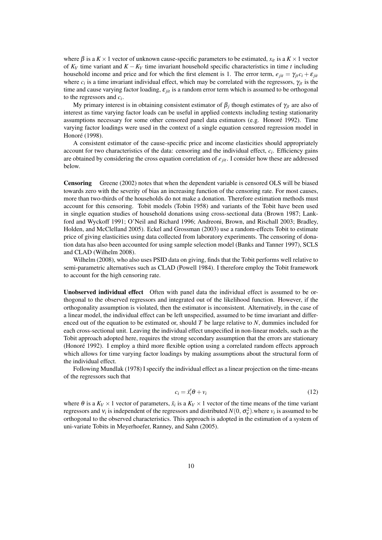where  $\beta$  is a  $K \times 1$  vector of unknown cause-specific parameters to be estimated,  $x_{it}$  is a  $K \times 1$  vector of  $K_V$  time variant and  $K - K_V$  time invariant household specific characteristics in time *t* including household income and price and for which the first element is 1. The error term,  $e_{jit} = \gamma_{jt} c_i + \varepsilon_{jit}$ where  $c_i$  is a time invariant individual effect, which may be correlated with the regressors,  $\gamma_{it}$  is the time and cause varying factor loading, ε *jit* is a random error term which is assumed to be orthogonal to the regressors and *ci*.

My primary interest is in obtaining consistent estimator of  $\beta_i$  though estimates of  $\gamma_i$  are also of interest as time varying factor loads can be useful in applied contexts including testing stationarity assumptions necessary for some other censored panel data estimators (e.g. Honoré 1992). Time varying factor loadings were used in the context of a single equation censored regression model in Honoré (1998).

A consistent estimator of the cause-specific price and income elasticities should appropriately account for two characteristics of the data: censoring and the individual effect, *ci*. Efficiency gains are obtained by considering the cross equation correlation of  $e_{jit}$ . I consider how these are addressed below.

Censoring Greene (2002) notes that when the dependent variable is censored OLS will be biased towards zero with the severity of bias an increasing function of the censoring rate. For most causes, more than two-thirds of the households do not make a donation. Therefore estimation methods must account for this censoring. Tobit models (Tobin 1958) and variants of the Tobit have been used in single equation studies of household donations using cross-sectional data (Brown 1987; Lankford and Wyckoff 1991; O'Neil and Richard 1996; Andreoni, Brown, and Rischall 2003; Bradley, Holden, and McClelland 2005). Eckel and Grossman (2003) use a random-effects Tobit to estimate price of giving elasticities using data collected from laboratory experiments. The censoring of donation data has also been accounted for using sample selection model (Banks and Tanner 1997), SCLS and CLAD (Wilhelm 2008).

Wilhelm (2008), who also uses PSID data on giving, finds that the Tobit performs well relative to semi-parametric alternatives such as CLAD (Powell 1984). I therefore employ the Tobit framework to account for the high censoring rate.

Unobserved individual effect Often with panel data the individual effect is assumed to be orthogonal to the observed regressors and integrated out of the likelihood function. However, if the orthogonality assumption is violated, then the estimator is inconsistent. Alternatively, in the case of a linear model, the individual effect can be left unspecified, assumed to be time invariant and differenced out of the equation to be estimated or, should *T* be large relative to *N*, dummies included for each cross-sectional unit. Leaving the individual effect unspecified in non-linear models, such as the Tobit approach adopted here, requires the strong secondary assumption that the errors are stationary (Honoré 1992). I employ a third more flexible option using a correlated random effects approach which allows for time varying factor loadings by making assumptions about the structural form of the individual effect.

Following Mundlak (1978) I specify the individual effect as a linear projection on the time-means of the regressors such that

$$
c_i = \bar{x}_i' \theta + v_i \tag{12}
$$

where  $\theta$  is a  $K_V \times 1$  vector of parameters,  $\bar{x}_i$  is a  $K_V \times 1$  vector of the time means of the time variant regressors and  $v_i$  is independent of the regressors and distributed  $N(0, \sigma_v^2)$ . where  $v_i$  is assumed to be orthogonal to the observed characteristics. This approach is adopted in the estimation of a system of uni-variate Tobits in Meyerhoefer, Ranney, and Sahn (2005).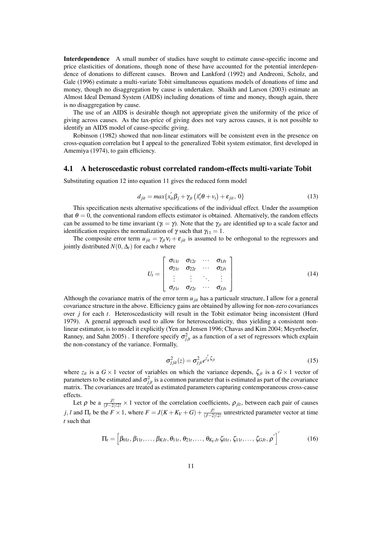Interdependence A small number of studies have sought to estimate cause-specific income and price elasticities of donations, though none of these have accounted for the potential interdependence of donations to different causes. Brown and Lankford (1992) and Andreoni, Scholz, and Gale (1996) estimate a multi-variate Tobit simultaneous equations models of donations of time and money, though no disaggregation by cause is undertaken. Shaikh and Larson (2003) estimate an Almost Ideal Demand System (AIDS) including donations of time and money, though again, there is no disaggregation by cause.

The use of an AIDS is desirable though not appropriate given the uniformity of the price of giving across causes. As the tax-price of giving does not vary across causes, it is not possible to identify an AIDS model of cause-specific giving.

Robinson (1982) showed that non-linear estimators will be consistent even in the presence on cross-equation correlation but I appeal to the generalized Tobit system estimator, first developed in Amemiya (1974), to gain efficiency.

#### 4.1 A heteroscedastic robust correlated random-effects multi-variate Tobit

Substituting equation 12 into equation 11 gives the reduced form model

$$
d_{jit} = max\{x_{it}^{'}\beta_j + \gamma_{jt}\left(\bar{x}_i^{\prime}\theta + v_i\right) + \varepsilon_{jit}, 0\}
$$
\n(13)

This specification nests alternative specifications of the individual effect. Under the assumption that  $\theta = 0$ , the conventional random effects estimator is obtained. Alternatively, the random effects can be assumed to be time invariant ( $\gamma = \gamma$ ). Note that the  $\gamma_{it}$  are identified up to a scale factor and identification requires the normalization of  $\gamma$  such that  $\gamma_{11} = 1$ .

The composite error term  $u_{jit} = \gamma_{jt} v_i + \varepsilon_{jit}$  is assumed to be orthogonal to the regressors and jointly distributed  $N(0, \Delta_t)$  for each *t* where

$$
U_{t} = \left[\begin{array}{cccc} \sigma_{11t} & \sigma_{12t} & \cdots & \sigma_{1Jt} \\ \sigma_{21t} & \sigma_{22t} & \cdots & \sigma_{2Jt} \\ \vdots & \vdots & \ddots & \vdots \\ \sigma_{J1t} & \sigma_{J2t} & \cdots & \sigma_{JJt} \end{array}\right]
$$
(14)

Although the covariance matrix of the error term *ujit* has a particualr structure, I allow for a general covariance structure in the above. Efficiency gains are obtained by allowing for non-zero covariances over *j* for each *t*. Heteroscedasticity will result in the Tobit estimator being inconsistent (Hurd 1979). A general approach used to allow for heteroscedasticity, thus yielding a consistent nonlinear estimator, is to model it explicitly (Yen and Jensen 1996; Chavas and Kim 2004; Meyerhoefer, Ranney, and Sahn 2005). I therefore specify  $\sigma_{jjt}^2$  as a function of a set of regressors which explain the non-constancy of the variance. Formally,

$$
\sigma_{jji}^2(z) = \sigma_{jji}^2 e^{z_{it}^2 \zeta_{ji}} \tag{15}
$$

where  $z_{it}$  is a  $G \times 1$  vector of variables on which the variance depends,  $\zeta_{jt}$  is a  $G \times 1$  vector of parameters to be estimated and  $\sigma_{jjt}^2$  is a common parameter that is estimated as part of the covariance matrix. The covariances are treated as estimated parameters capturing contemporaneous cross-cause effects.

Let  $\rho$  be a  $\frac{J!}{(J-2)!2!} \times 1$  vector of the correlation coefficients,  $\rho_{jlt}$ , between each pair of causes *j*, *l* and  $\Pi_t$  be the  $F \times 1$ , where  $F = J(K + K_V + G) + \frac{J!}{(J-2)!2!}$  unrestricted parameter vector at time *t* such that

$$
\Pi_{t} = \left[\beta_{01t}, \beta_{11t}, \dots, \beta_{KJt}, \theta_{11t}, \theta_{21t}, \dots, \theta_{K_VJt} \zeta_{01t}, \zeta_{11t}, \dots, \zeta_{GJt}, \rho'\right]'
$$
(16)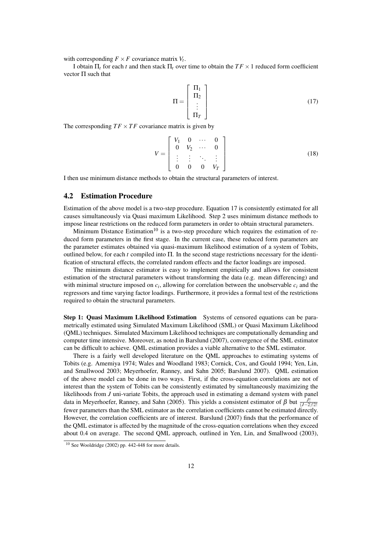with corresponding  $F \times F$  covariance matrix  $V_t$ .

I obtain  $\Pi$ <sub>*t*</sub> for each *t* and then stack  $\Pi$ <sub>*t*</sub> over time to obtain the *TF* × 1 reduced form coefficient vector  $\Pi$  such that

$$
\Pi = \begin{bmatrix} \Pi_1 \\ \Pi_2 \\ \vdots \\ \Pi_T \end{bmatrix} \tag{17}
$$

The corresponding  $TF \times TF$  covariance matrix is given by

$$
V = \begin{bmatrix} V_1 & 0 & \cdots & 0 \\ 0 & V_2 & \cdots & 0 \\ \vdots & \vdots & \ddots & \vdots \\ 0 & 0 & 0 & V_T \end{bmatrix}
$$
 (18)

I then use minimum distance methods to obtain the structural parameters of interest.

### 4.2 Estimation Procedure

Estimation of the above model is a two-step procedure. Equation 17 is consistently estimated for all causes simultaneously via Quasi maximum Likelihood. Step 2 uses minimum distance methods to impose linear restrictions on the reduced form parameters in order to obtain structural parameters.

Minimum Distance Estimation<sup>10</sup> is a two-step procedure which requires the estimation of reduced form parameters in the first stage. In the current case, these reduced form parameters are the parameter estimates obtained via quasi-maximum likelihood estimation of a system of Tobits, outlined below, for each *t* compiled into Π. In the second stage restrictions necessary for the identification of structural effects, the correlated random effects and the factor loadings are imposed.

The minimum distance estimator is easy to implement empirically and allows for consistent estimation of the structural parameters without transforming the data (e.g. mean differencing) and with minimal structure imposed on  $c_i$ , allowing for correlation between the unobservable  $c_i$  and the regressors and time varying factor loadings. Furthermore, it provides a formal test of the restrictions required to obtain the structural parameters.

Step 1: Quasi Maximum Likelihood Estimation Systems of censored equations can be parametrically estimated using Simulated Maximum Likelihood (SML) or Quasi Maximum Likelihood (QML) techniques. Simulated Maximum Likelihood techniques are computationally demanding and computer time intensive. Moreover, as noted in Barslund (2007), convergence of the SML estimator can be difficult to achieve. QML estimation provides a viable alternative to the SML estimator.

There is a fairly well developed literature on the QML approaches to estimating systems of Tobits (e.g. Amemiya 1974; Wales and Woodland 1983; Cornick, Cox, and Gould 1994; Yen, Lin, and Smallwood 2003; Meyerhoefer, Ranney, and Sahn 2005; Barslund 2007). QML estimation of the above model can be done in two ways. First, if the cross-equation correlations are not of interest than the system of Tobits can be consistently estimated by simultaneously maximizing the likelihoods from *J* uni-variate Tobits, the approach used in estimating a demand system with panel data in Meyerhoefer, Ranney, and Sahn (2005). This yields a consistent estimator of  $\beta$  but  $\frac{J!}{(J-2)!2!}$ fewer parameters than the SML estimator as the correlation coefficients cannot be estimated directly. However, the correlation coefficients are of interest. Barslund (2007) finds that the performance of the QML estimator is affected by the magnitude of the cross-equation correlations when they exceed about 0.4 on average. The second QML approach, outlined in Yen, Lin, and Smallwood (2003),

<sup>10</sup> See Wooldridge (2002) pp. 442-448 for more details.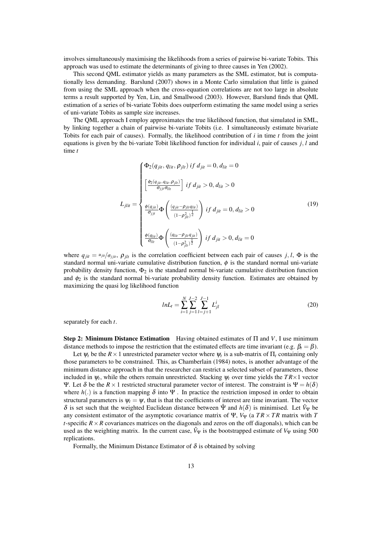involves simultaneously maximising the likelihoods from a series of pairwise bi-variate Tobits. This approach was used to estimate the determinants of giving to three causes in Yen (2002).

This second QML estimator yields as many parameters as the SML estimator, but is computationally less demanding. Barslund (2007) shows in a Monte Carlo simulation that little is gained from using the SML approach when the cross-equation correlations are not too large in absolute terms a result supported by Yen, Lin, and Smallwood (2003). However, Barslund finds that QML estimation of a series of bi-variate Tobits does outperform estimating the same model using a series of uni-variate Tobits as sample size increases.

The QML approach I employ approximates the true likelihood function, that simulated in SML, by linking together a chain of pairwise bi-variate Tobits (i.e. I simultaneously estimate bivariate Tobits for each pair of causes). Formally, the likelihood contribution of *i* in time *t* from the joint equations is given by the bi-variate Tobit likelihood function for individual *i*, pair of causes *j, l* and time *t*

$$
L_{jlit} = \begin{cases} \Phi_{2}(q_{jit}, q_{lit}, \rho_{jlt}) \; if \; d_{jit} = 0, \, d_{lit} = 0 \\ \left[ \frac{\phi_{2}(q_{jit}, q_{lit}, \rho_{jlt})}{\sigma_{jj} \sigma_{lit}} \right] \; if \; d_{jit} > 0, \, d_{lit} > 0 \\ \frac{\phi(q_{jit})}{\sigma_{jt}} \Phi\left( \frac{(q_{jit} - \rho_{jlt} q_{lit})}{(1 - \rho_{jlt}^2)^{\frac{1}{2}}} \right) \; if \; d_{jit} = 0, \, d_{lit} > 0 \\ \frac{\phi(q_{lit})}{\sigma_{lit}} \Phi\left( \frac{(q_{lit} - \rho_{jlt} q_{jit})}{(1 - \rho_{jlt}^2)^{\frac{1}{2}}} \right) \; if \; d_{jit} > 0, \, d_{lit} = 0 \end{cases} \tag{19}
$$

where  $q_{jit} = u_{jit}/\sigma_{jit}$ ,  $\rho_{jlt}$  is the correlation coefficient between each pair of causes *j*, *l*,  $\Phi$  is the standard normal uni-variate cumulative distribution function,  $\phi$  is the standard normal uni-variate probability density function,  $\Phi_2$  is the standard normal bi-variate cumulative distribution function and  $\phi_2$  is the standard normal bi-variate probability density function. Estimates are obtained by maximizing the quasi log likelihood function

$$
lnL_t = \sum_{i=1}^{N} \sum_{j=1}^{J-2} \sum_{l=j+1}^{J-1} L_{jl}^i
$$
 (20)

separately for each *t*.

Step 2: Minimum Distance Estimation Having obtained estimates of Π and *V*, I use minimum distance methods to impose the restriction that the estimated effects are time invariant (e.g.  $\beta_t = \beta$ ).

Let  $\psi_t$  be the  $R \times 1$  unrestricted parameter vector where  $\psi_t$  is a sub-matrix of  $\Pi_t$  containing only those parameters to be constrained. This, as Chamberlain (1984) notes, is another advantage of the minimum distance approach in that the researcher can restrict a selected subset of parameters, those included in  $\psi_t$ , while the others remain unrestricted. Stacking  $\psi_t$  over time yields the  $TR \times 1$  vector Ψ. Let δ be the  $R \times 1$  restricted structural parameter vector of interest. The constraint is  $\Psi = h(\delta)$ where  $h(.)$  is a function mapping  $\delta$  into  $\Psi$ . In practice the restriction imposed in order to obtain structural parameters is  $\psi_t = \psi$ , that is that the coefficients of interest are time invariant. The vector δ is set such that the weighted Euclidean distance between  $\hat{\Psi}$  and  $h(\delta)$  is minimised. Let  $\hat{V}_{\Psi}$  be any consistent estimator of the asymptotic covariance matrix of  $\Psi$ ,  $V_{\Psi}$  (a  $TR \times TR$  matrix with T *t*-specific  $R \times R$  covariances matrices on the diagonals and zeros on the off diagonals), which can be used as the weighting matrix. In the current case,  $\hat{V}_{\Psi}$  is the bootstrapped estimate of  $V_{\Psi}$  using 500 replications.

Formally, the Minimum Distance Estimator of  $\delta$  is obtained by solving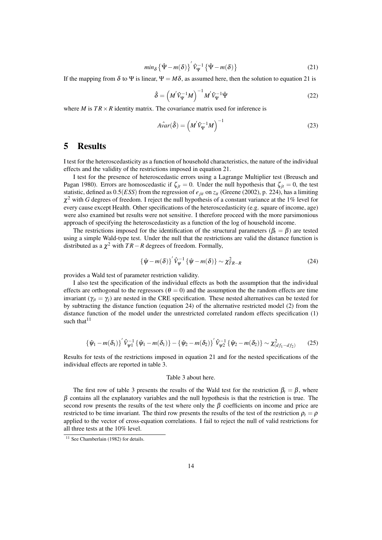$$
min_{\delta} \left\{ \hat{\Psi} - m(\delta) \right\}^{\prime} \hat{V}_{\Psi}^{-1} \left\{ \hat{\Psi} - m(\delta) \right\}
$$
 (21)

If the mapping from  $\delta$  to  $\Psi$  is linear,  $\Psi = M\delta$ , as assumed here, then the solution to equation 21 is

$$
\hat{\delta} = \left(M'\hat{V}_{\Psi}^{-1}M\right)^{-1}M'\hat{V}_{\Psi}^{-1}\hat{\Psi}
$$
\n(22)

where *M* is  $TR \times R$  identity matrix. The covariance matrix used for inference is

$$
\hat{Avar}(\hat{\delta}) = \left(M'\hat{V}_{\Psi}^{-1}M\right)^{-1}
$$
\n(23)

### 5 Results

I test for the heteroscedasticity as a function of household characteristics, the nature of the individual effects and the validity of the restrictions imposed in equation 21.

I test for the presence of heteroscedastic errors using a Lagrange Multiplier test (Breusch and Pagan 1980). Errors are homoscedastic if  $\zeta_{it} = 0$ . Under the null hypothesis that  $\zeta_{it} = 0$ , the test statistic, defined as  $0.5(ESS)$  from the regression of  $e_{jit}$  on  $z_{it}$  (Greene (2002), p. 224), has a limiting  $\chi^2$  with *G* degrees of freedom. I reject the null hypothesis of a constant variance at the 1% level for every cause except Health. Other specifications of the heteroscedasticity (e.g. square of income, age) were also examined but results were not sensitive. I therefore proceed with the more parsimonious approach of specifying the heteroscedasticity as a function of the log of household income.

The restrictions imposed for the identification of the structural parameters ( $\beta_t = \beta$ ) are tested using a simple Wald-type test. Under the null that the restrictions are valid the distance function is distributed as a  $\chi^2$  with  $TR-R$  degrees of freedom. Formally,

$$
\{\hat{\psi} - m(\delta)\}^{\prime} \hat{V}_{\psi}^{-1} \{\hat{\psi} - m(\delta)\} \sim \chi_{TR-R}^{2}
$$
 (24)

provides a Wald test of parameter restriction validity.

I also test the specification of the individual effects as both the assumption that the individual effects are orthogonal to the regressors ( $\theta = 0$ ) and the assumption the the random effects are time invariant ( $\gamma_{it} = \gamma_i$ ) are nested in the CRE specification. These nested alternatives can be tested for by subtracting the distance function (equation 24) of the alternative restricted model (2) from the distance function of the model under the unrestricted correlated random effects specification (1) such that  $11$ 

$$
\{\hat{\psi}_1 - m(\delta_1)\}^{\prime} \hat{V}_{\psi 1}^{-1} \{\hat{\psi}_1 - m(\delta_1)\} - \{\hat{\psi}_2 - m(\delta_2)\}^{\prime} \hat{V}_{\psi 2}^{-1} \{\hat{\psi}_2 - m(\delta_2)\} \sim \chi^2_{(df_1 - df_2)}
$$
(25)

Results for tests of the restrictions imposed in equation 21 and for the nested specifications of the individual effects are reported in table 3.

#### Table 3 about here.

The first row of table 3 presents the results of the Wald test for the restriction  $\beta_t = \beta$ , where  $\beta$  contains all the explanatory variables and the null hypothesis is that the restriction is true. The second row presents the results of the test where only the  $\beta$  coefficients on income and price are restricted to be time invariant. The third row presents the results of the test of the restriction  $\rho_t = \rho$ applied to the vector of cross-equation correlations. I fail to reject the null of valid restrictions for all three tests at the 10% level.

 $11$  See Chamberlain (1982) for details.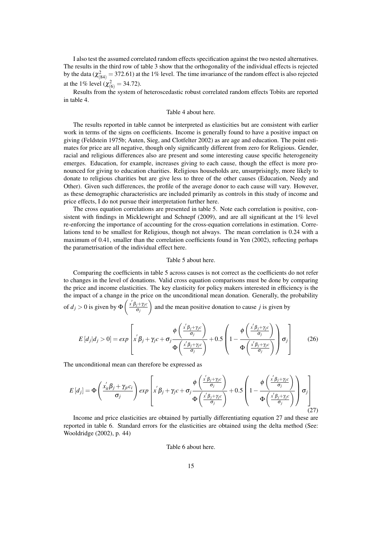I also test the assumed correlated random effects specification against the two nested alternatives. The results in the third row of table 3 show that the orthogonality of the individual effects is rejected by the data ( $\chi^2_{(84)} = 372.61$ ) at the 1% level. The time invariance of the random effect is also rejected at the 1% level ( $\chi^2_{(6)} = 34.72$ ).

Results from the system of heteroscedastic robust correlated random effects Tobits are reported in table 4.

#### Table 4 about here.

The results reported in table cannot be interpreted as elasticities but are consistent with earlier work in terms of the signs on coefficients. Income is generally found to have a positive impact on giving (Feldstein 1975b; Auten, Sieg, and Clotfelter 2002) as are age and education. The point estimates for price are all negative, though only significantly different from zero for Religious. Gender, racial and religious differences also are present and some interesting cause specific heterogeneity emerges. Education, for example, increases giving to each cause, though the effect is more pronounced for giving to education charities. Religious households are, unsurprisingly, more likely to donate to religious charities but are give less to three of the other causes (Education, Needy and Other). Given such differences, the profile of the average donor to each cause will vary. However, as these demographic characteristics are included primarily as controls in this study of income and price effects, I do not pursue their interpretation further here.

The cross equation correlations are presented in table 5. Note each correlation is positive, consistent with findings in Micklewright and Schnepf (2009), and are all significant at the 1% level re-enforcing the importance of accounting for the cross-equation correlations in estimation. Correlations tend to be smallest for Religious, though not always. The mean correlation is 0.24 with a maximum of 0.41, smaller than the correlation coefficients found in Yen (2002), reflecting perhaps the parametrisation of the individual effect here.

#### Table 5 about here.

Comparing the coefficients in table 5 across causes is not correct as the coefficients do not refer to changes in the level of donations. Valid cross equation comparisons must be done by comparing the price and income elasticities. The key elasticity for policy makers interested in efficiency is the the impact of a change in the price on the unconditional mean donation. Generally, the probability  $\setminus$ 

of  $d_j > 0$  is given by  $\Phi\left(\frac{x'\beta_j + \gamma_j c}{\sigma_i}\right)$ σ*j* and the mean positive donation to cause *j* is given by

$$
E\left[d_j\middle|d_j>0\right] = exp\left[x^{'}\beta_j + \gamma_j c + \sigma_j \frac{\phi\left(\frac{x^{'}\beta_j + \gamma_j c}{\sigma_j}\right)}{\Phi\left(\frac{x^{'}\beta_j + \gamma_j c}{\sigma_j}\right)} + 0.5\left(1 - \frac{\phi\left(\frac{x^{'}\beta_j + \gamma_j c}{\sigma_j}\right)}{\Phi\left(\frac{x^{'}\beta_j + \gamma_j c}{\sigma_j}\right)}\right)\sigma_j\right]
$$
(26)

The unconditional mean can therefore be expressed as

$$
E\left[d_j\right] = \Phi\left(\frac{x_{it}'\beta_j + \gamma_{jt}c_i}{\sigma_j}\right) exp\left[x'\beta_j + \gamma_{j}c + \sigma_j \frac{\phi\left(\frac{x'\beta_j + \gamma_{j}c}{\sigma_j}\right)}{\Phi\left(\frac{x'\beta_j + \gamma_{j}c}{\sigma_j}\right)} + 0.5\left(1 - \frac{\phi\left(\frac{x'\beta_j + \gamma_{j}c}{\sigma_j}\right)}{\Phi\left(\frac{x'\beta_j + \gamma_{j}c}{\sigma_j}\right)}\right)\sigma_j\right]
$$
(27)

Income and price elasticities are obtained by partially differentiating equation 27 and these are reported in table 6. Standard errors for the elasticities are obtained using the delta method (See: Wooldridge (2002), p. 44)

Table 6 about here.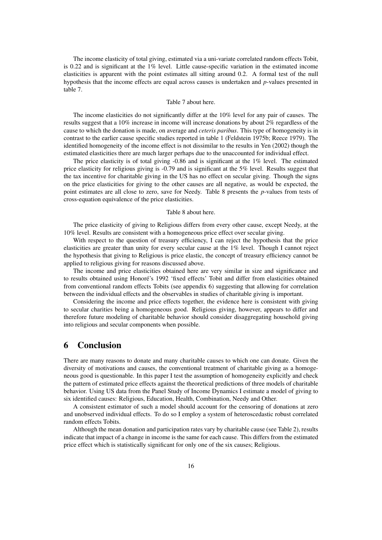The income elasticity of total giving, estimated via a uni-variate correlated random effects Tobit, is 0.22 and is significant at the 1% level. Little cause-specific variation in the estimated income elasticities is apparent with the point estimates all sitting around 0.2. A formal test of the null hypothesis that the income effects are equal across causes is undertaken and *p*-values presented in table 7.

#### Table 7 about here.

The income elasticities do not significantly differ at the 10% level for any pair of causes. The results suggest that a 10% increase in income will increase donations by about 2% regardless of the cause to which the donation is made, on average and *ceteris paribus*. This type of homogeneity is in contrast to the earlier cause specific studies reported in table 1 (Feldstein 1975b; Reece 1979). The identified homogeneity of the income effect is not dissimilar to the results in Yen (2002) though the estimated elasticities there are much larger perhaps due to the unaccounted for individual effect.

The price elasticity is of total giving -0.86 and is significant at the 1% level. The estimated price elasticity for religious giving is -0.79 and is significant at the 5% level. Results suggest that the tax incentive for charitable giving in the US has no effect on secular giving. Though the signs on the price elasticities for giving to the other causes are all negative, as would be expected, the point estimates are all close to zero, save for Needy. Table 8 presents the *p*-values from tests of cross-equation equivalence of the price elasticities.

#### Table 8 about here.

The price elasticity of giving to Religious differs from every other cause, except Needy, at the 10% level. Results are consistent with a homogeneous price effect over secular giving.

With respect to the question of treasury efficiency, I can reject the hypothesis that the price elasticities are greater than unity for every secular cause at the 1% level. Though I cannot reject the hypothesis that giving to Religious is price elastic, the concept of treasury efficiency cannot be applied to religious giving for reasons discussed above.

The income and price elasticities obtained here are very similar in size and significance and to results obtained using Honoré's 1992 'fixed effects' Tobit and differ from elasticities obtained from conventional random effects Tobits (see appendix 6) suggesting that allowing for correlation between the individual effects and the observables in studies of charitable giving is important.

Considering the income and price effects together, the evidence here is consistent with giving to secular charities being a homogeneous good. Religious giving, however, appears to differ and therefore future modeling of charitable behavior should consider disaggregating household giving into religious and secular components when possible.

### 6 Conclusion

There are many reasons to donate and many charitable causes to which one can donate. Given the diversity of motivations and causes, the conventional treatment of charitable giving as a homogeneous good is questionable. In this paper I test the assumption of homogeneity explicitly and check the pattern of estimated price effects against the theoretical predictions of three models of charitable behavior. Using US data from the Panel Study of Income Dynamics I estimate a model of giving to six identified causes: Religious, Education, Health, Combination, Needy and Other.

A consistent estimator of such a model should account for the censoring of donations at zero and unobserved individual effects. To do so I employ a system of heteroscedastic robust correlated random effects Tobits.

Although the mean donation and participation rates vary by charitable cause (see Table 2), results indicate that impact of a change in income is the same for each cause. This differs from the estimated price effect which is statistically significant for only one of the six causes; Religious.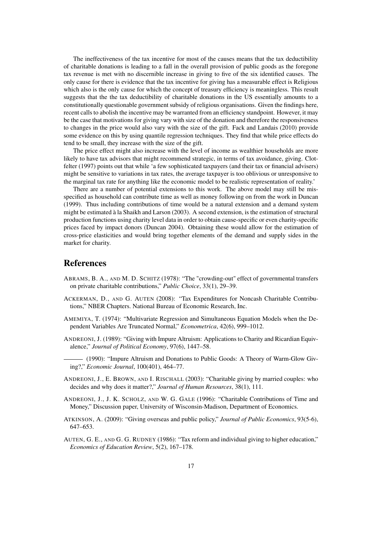The ineffectiveness of the tax incentive for most of the causes means that the tax deductibility of charitable donations is leading to a fall in the overall provision of public goods as the foregone tax revenue is met with no discernible increase in giving to five of the six identified causes. The only cause for there is evidence that the tax incentive for giving has a measurable effect is Religious which also is the only cause for which the concept of treasury efficiency is meaningless. This result suggests that the the tax deductibility of charitable donations in the US essentially amounts to a constitutionally questionable government subsidy of religious organisations. Given the findings here, recent calls to abolish the incentive may be warranted from an efficiency standpoint. However, it may be the case that motivations for giving vary with size of the donation and therefore the responsiveness to changes in the price would also vary with the size of the gift. Fack and Landais (2010) provide some evidence on this by using quantile regression techniques. They find that while price effects do tend to be small, they increase with the size of the gift.

The price effect might also increase with the level of income as wealthier households are more likely to have tax advisors that might recommend strategic, in terms of tax avoidance, giving. Clotfelter (1997) points out that while 'a few sophisticated taxpayers (and their tax or financial advisers) might be sensitive to variations in tax rates, the average taxpayer is too oblivious or unresponsive to the marginal tax rate for anything like the economic model to be realistic representation of reality.'

There are a number of potential extensions to this work. The above model may still be misspecified as household can contribute time as well as money following on from the work in Duncan (1999). Thus including contributions of time would be a natural extension and a demand system might be estimated à la Shaikh and Larson (2003). A second extension, is the estimation of structural production functions using charity level data in order to obtain cause-specific or even charity-specific prices faced by impact donors (Duncan 2004). Obtaining these would allow for the estimation of cross-price elasticities and would bring together elements of the demand and supply sides in the market for charity.

### References

- ABRAMS, B. A., AND M. D. SCHITZ (1978): "The "crowding-out" effect of governmental transfers on private charitable contributions," *Public Choice*, 33(1), 29–39.
- ACKERMAN, D., AND G. AUTEN (2008): "Tax Expenditures for Noncash Charitable Contributions," NBER Chapters. National Bureau of Economic Research, Inc.
- AMEMIYA, T. (1974): "Multivariate Regression and Simultaneous Equation Models when the Dependent Variables Are Truncated Normal," *Econometrica*, 42(6), 999–1012.
- ANDREONI, J. (1989): "Giving with Impure Altruism: Applications to Charity and Ricardian Equivalence," *Journal of Political Economy*, 97(6), 1447–58.
- (1990): "Impure Altruism and Donations to Public Goods: A Theory of Warm-Glow Giving?," *Economic Journal*, 100(401), 464–77.
- ANDREONI, J., E. BROWN, AND I. RISCHALL (2003): "Charitable giving by married couples: who decides and why does it matter?," *Journal of Human Resources*, 38(1), 111.
- ANDREONI, J., J. K. SCHOLZ, AND W. G. GALE (1996): "Charitable Contributions of Time and Money," Discussion paper, University of Wisconsin-Madison, Department of Economics.
- ATKINSON, A. (2009): "Giving overseas and public policy," *Journal of Public Economics*, 93(5-6), 647–653.
- AUTEN, G. E., AND G. G. RUDNEY (1986): "Tax reform and individual giving to higher education," *Economics of Education Review*, 5(2), 167–178.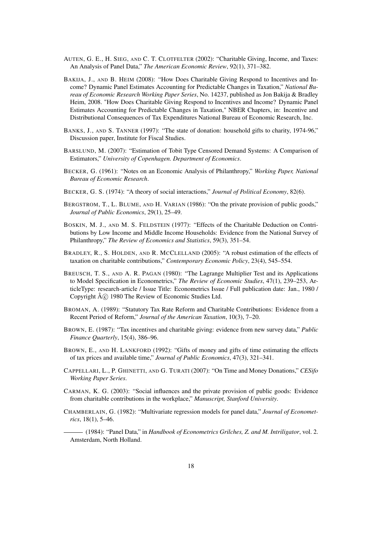- AUTEN, G. E., H. SIEG, AND C. T. CLOTFELTER (2002): "Charitable Giving, Income, and Taxes: An Analysis of Panel Data," *The American Economic Review*, 92(1), 371–382.
- BAKIJA, J., AND B. HEIM (2008): "How Does Charitable Giving Respond to Incentives and Income? Dynamic Panel Estimates Accounting for Predictable Changes in Taxation," *National Bureau of Economic Research Working Paper Series*, No. 14237, published as Jon Bakija & Bradley Heim, 2008. "How Does Charitable Giving Respond to Incentives and Income? Dynamic Panel Estimates Accounting for Predictable Changes in Taxation," NBER Chapters, in: Incentive and Distributional Consequences of Tax Expenditures National Bureau of Economic Research, Inc.
- BANKS, J., AND S. TANNER (1997): "The state of donation: household gifts to charity, 1974-96," Discussion paper, Institute for Fiscal Studies.
- BARSLUND, M. (2007): "Estimation of Tobit Type Censored Demand Systems: A Comparison of Estimators," *University of Copenhagen. Department of Economics*.
- BECKER, G. (1961): "Notes on an Economic Analysis of Philanthropy," *Working Paper, National Bureau of Economic Research*.
- BECKER, G. S. (1974): "A theory of social interactions," *Journal of Political Economy*, 82(6).
- BERGSTROM, T., L. BLUME, AND H. VARIAN (1986): "On the private provision of public goods," *Journal of Public Economics*, 29(1), 25–49.
- BOSKIN, M. J., AND M. S. FELDSTEIN (1977): "Effects of the Charitable Deduction on Contributions by Low Income and Middle Income Households: Evidence from the National Survey of Philanthropy," *The Review of Economics and Statistics*, 59(3), 351–54.
- BRADLEY, R., S. HOLDEN, AND R. MCCLELLAND (2005): "A robust estimation of the effects of taxation on charitable contributions," *Contemporary Economic Policy*, 23(4), 545–554.
- BREUSCH, T. S., AND A. R. PAGAN (1980): "The Lagrange Multiplier Test and its Applications to Model Specification in Econometrics," *The Review of Economic Studies*, 47(1), 239–253, ArticleType: research-article / Issue Title: Econometrics Issue / Full publication date: Jan., 1980 / Copyright  $\hat{A}(\hat{c})$  1980 The Review of Economic Studies Ltd.
- BROMAN, A. (1989): "Statutory Tax Rate Reform and Charitable Contributions: Evidence from a Recent Period of Reform," *Journal of the American Taxation*, 10(3), 7–20.
- BROWN, E. (1987): "Tax incentives and charitable giving: evidence from new survey data," *Public Finance Quarterly*, 15(4), 386–96.
- BROWN, E., AND H. LANKFORD (1992): "Gifts of money and gifts of time estimating the effects of tax prices and available time," *Journal of Public Economics*, 47(3), 321–341.
- CAPPELLARI, L., P. GHINETTI, AND G. TURATI (2007): "On Time and Money Donations," *CESifo Working Paper Series*.
- CARMAN, K. G. (2003): "Social influences and the private provision of public goods: Evidence from charitable contributions in the workplace," *Manuscript, Stanford University*.
- CHAMBERLAIN, G. (1982): "Multivariate regression models for panel data," *Journal of Econometrics*, 18(1), 5–46.

(1984): "Panel Data," in *Handbook of Econometrics Grilches, Z. and M. Intriligator*, vol. 2. Amsterdam, North Holland.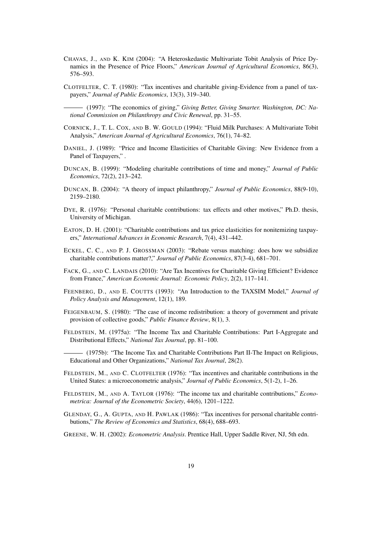- CHAVAS, J., AND K. KIM (2004): "A Heteroskedastic Multivariate Tobit Analysis of Price Dynamics in the Presence of Price Floors," *American Journal of Agricultural Economics*, 86(3), 576–593.
- CLOTFELTER, C. T. (1980): "Tax incentives and charitable giving-Evidence from a panel of taxpayers," *Journal of Public Economics*, 13(3), 319–340.
- (1997): "The economics of giving," *Giving Better, Giving Smarter. Washington, DC: National Commission on Philanthropy and Civic Renewal*, pp. 31–55.
- CORNICK, J., T. L. COX, AND B. W. GOULD (1994): "Fluid Milk Purchases: A Multivariate Tobit Analysis," *American Journal of Agricultural Economics*, 76(1), 74–82.
- DANIEL, J. (1989): "Price and Income Elasticities of Charitable Giving: New Evidence from a Panel of Taxpayers," .
- DUNCAN, B. (1999): "Modeling charitable contributions of time and money," *Journal of Public Economics*, 72(2), 213–242.
- DUNCAN, B. (2004): "A theory of impact philanthropy," *Journal of Public Economics*, 88(9-10), 2159–2180.
- DYE, R. (1976): "Personal charitable contributions: tax effects and other motives," Ph.D. thesis, University of Michigan.
- EATON, D. H. (2001): "Charitable contributions and tax price elasticities for nonitemizing taxpayers," *International Advances in Economic Research*, 7(4), 431–442.
- ECKEL, C. C., AND P. J. GROSSMAN (2003): "Rebate versus matching: does how we subsidize charitable contributions matter?," *Journal of Public Economics*, 87(3-4), 681–701.
- FACK, G., AND C. LANDAIS (2010): "Are Tax Incentives for Charitable Giving Efficient? Evidence from France," *American Economic Journal: Economic Policy*, 2(2), 117–141.
- FEENBERG, D., AND E. COUTTS (1993): "An Introduction to the TAXSIM Model," *Journal of Policy Analysis and Management*, 12(1), 189.
- FEIGENBAUM, S. (1980): "The case of income redistribution: a theory of government and private provision of collective goods," *Public Finance Review*, 8(1), 3.
- FELDSTEIN, M. (1975a): "The Income Tax and Charitable Contributions: Part I-Aggregate and Distributional Effects," *National Tax Journal*, pp. 81–100.

(1975b): "The Income Tax and Charitable Contributions Part II-The Impact on Religious, Educational and Other Organizations," *National Tax Journal*, 28(2).

- FELDSTEIN, M., AND C. CLOTFELTER (1976): "Tax incentives and charitable contributions in the United States: a microeconometric analysis," *Journal of Public Economics*, 5(1-2), 1–26.
- FELDSTEIN, M., AND A. TAYLOR (1976): "The income tax and charitable contributions," *Econometrica: Journal of the Econometric Society*, 44(6), 1201–1222.
- GLENDAY, G., A. GUPTA, AND H. PAWLAK (1986): "Tax incentives for personal charitable contributions," *The Review of Economics and Statistics*, 68(4), 688–693.
- GREENE, W. H. (2002): *Econometric Analysis*. Prentice Hall, Upper Saddle River, NJ, 5th edn.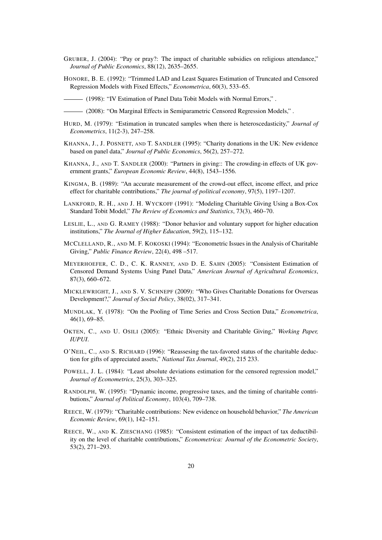- GRUBER, J. (2004): "Pay or pray?: The impact of charitable subsidies on religious attendance," *Journal of Public Economics*, 88(12), 2635–2655.
- HONORE, B. E. (1992): "Trimmed LAD and Least Squares Estimation of Truncated and Censored Regression Models with Fixed Effects," *Econometrica*, 60(3), 533–65.
- (1998): "IV Estimation of Panel Data Tobit Models with Normal Errors," .
- (2008): "On Marginal Effects in Semiparametric Censored Regression Models," .
- HURD, M. (1979): "Estimation in truncated samples when there is heteroscedasticity," *Journal of Econometrics*, 11(2-3), 247–258.
- KHANNA, J., J. POSNETT, AND T. SANDLER (1995): "Charity donations in the UK: New evidence based on panel data," *Journal of Public Economics*, 56(2), 257–272.
- KHANNA, J., AND T. SANDLER (2000): "Partners in giving:: The crowding-in effects of UK government grants," *European Economic Review*, 44(8), 1543–1556.
- KINGMA, B. (1989): "An accurate measurement of the crowd-out effect, income effect, and price effect for charitable contributions," *The journal of political economy*, 97(5), 1197–1207.
- LANKFORD, R. H., AND J. H. WYCKOFF (1991): "Modeling Charitable Giving Using a Box-Cox Standard Tobit Model," *The Review of Economics and Statistics*, 73(3), 460–70.
- LESLIE, L., AND G. RAMEY (1988): "Donor behavior and voluntary support for higher education institutions," *The Journal of Higher Education*, 59(2), 115–132.
- MCCLELLAND, R., AND M. F. KOKOSKI (1994): "Econometric Issues in the Analysis of Charitable Giving," *Public Finance Review*, 22(4), 498 –517.
- MEYERHOEFER, C. D., C. K. RANNEY, AND D. E. SAHN (2005): "Consistent Estimation of Censored Demand Systems Using Panel Data," *American Journal of Agricultural Economics*, 87(3), 660–672.
- MICKLEWRIGHT, J., AND S. V. SCHNEPF (2009): "Who Gives Charitable Donations for Overseas Development?," *Journal of Social Policy*, 38(02), 317–341.
- MUNDLAK, Y. (1978): "On the Pooling of Time Series and Cross Section Data," *Econometrica*, 46(1), 69–85.
- OKTEN, C., AND U. OSILI (2005): "Ethnic Diversity and Charitable Giving," *Working Paper, IUPUI*.
- O'NEIL, C., AND S. RICHARD (1996): "Reassesing the tax-favored status of the charitable deduction for gifts of appreciated assets," *National Tax Journal*, 49(2), 215 233.
- POWELL, J. L. (1984): "Least absolute deviations estimation for the censored regression model," *Journal of Econometrics*, 25(3), 303–325.
- RANDOLPH, W. (1995): "Dynamic income, progressive taxes, and the timing of charitable contributions," *Journal of Political Economy*, 103(4), 709–738.
- REECE, W. (1979): "Charitable contributions: New evidence on household behavior," *The American Economic Review*, 69(1), 142–151.
- REECE, W., AND K. ZIESCHANG (1985): "Consistent estimation of the impact of tax deductibility on the level of charitable contributions," *Econometrica: Journal of the Econometric Society*, 53(2), 271–293.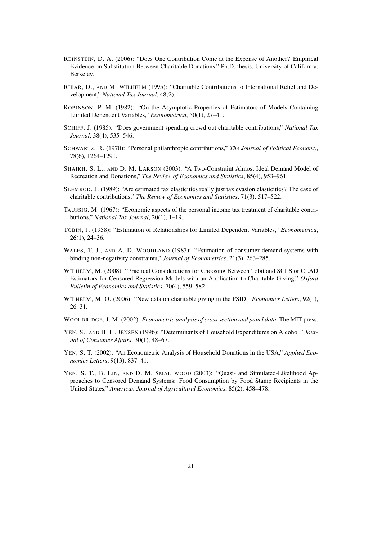- REINSTEIN, D. A. (2006): "Does One Contribution Come at the Expense of Another? Empirical Evidence on Substitution Between Charitable Donations," Ph.D. thesis, University of California, Berkeley.
- RIBAR, D., AND M. WILHELM (1995): "Charitable Contributions to International Relief and Development," *National Tax Journal*, 48(2).
- ROBINSON, P. M. (1982): "On the Asymptotic Properties of Estimators of Models Containing Limited Dependent Variables," *Econometrica*, 50(1), 27–41.
- SCHIFF, J. (1985): "Does government spending crowd out charitable contributions," *National Tax Journal*, 38(4), 535–546.
- SCHWARTZ, R. (1970): "Personal philanthropic contributions," *The Journal of Political Economy*, 78(6), 1264–1291.
- SHAIKH, S. L., AND D. M. LARSON (2003): "A Two-Constraint Almost Ideal Demand Model of Recreation and Donations," *The Review of Economics and Statistics*, 85(4), 953–961.
- SLEMROD, J. (1989): "Are estimated tax elasticities really just tax evasion elasticities? The case of charitable contributions," *The Review of Economics and Statistics*, 71(3), 517–522.
- TAUSSIG, M. (1967): "Economic aspects of the personal income tax treatment of charitable contributions," *National Tax Journal*, 20(1), 1–19.
- TOBIN, J. (1958): "Estimation of Relationships for Limited Dependent Variables," *Econometrica*, 26(1), 24–36.
- WALES, T. J., AND A. D. WOODLAND (1983): "Estimation of consumer demand systems with binding non-negativity constraints," *Journal of Econometrics*, 21(3), 263–285.
- WILHELM, M. (2008): "Practical Considerations for Choosing Between Tobit and SCLS or CLAD Estimators for Censored Regression Models with an Application to Charitable Giving," *Oxford Bulletin of Economics and Statistics*, 70(4), 559–582.
- WILHELM, M. O. (2006): "New data on charitable giving in the PSID," *Economics Letters*, 92(1), 26–31.
- WOOLDRIDGE, J. M. (2002): *Econometric analysis of cross section and panel data*. The MIT press.
- YEN, S., AND H. H. JENSEN (1996): "Determinants of Household Expenditures on Alcohol," *Journal of Consumer Affairs*, 30(1), 48–67.
- YEN, S. T. (2002): "An Econometric Analysis of Household Donations in the USA," *Applied Economics Letters*, 9(13), 837–41.
- YEN, S. T., B. LIN, AND D. M. SMALLWOOD (2003): "Quasi- and Simulated-Likelihood Approaches to Censored Demand Systems: Food Consumption by Food Stamp Recipients in the United States," *American Journal of Agricultural Economics*, 85(2), 458–478.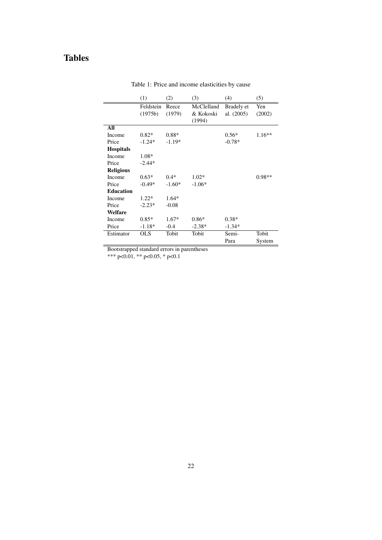## Tables

|                  | (1)                  | (2)             | (3)                               | (4)                      | (5)           |
|------------------|----------------------|-----------------|-----------------------------------|--------------------------|---------------|
|                  | Feldstein<br>(1975b) | Reece<br>(1979) | McClelland<br>& Kokoski<br>(1994) | Bradely et<br>al. (2005) | Yen<br>(2002) |
| All              |                      |                 |                                   |                          |               |
| Income           | $0.82*$              | $0.88*$         |                                   | $0.56*$                  | $1.16**$      |
| Price            | $-1.24*$             | $-1.19*$        |                                   | $-0.78*$                 |               |
| <b>Hospitals</b> |                      |                 |                                   |                          |               |
| Income           | $1.08*$              |                 |                                   |                          |               |
| Price            | $-2.44*$             |                 |                                   |                          |               |
| <b>Religious</b> |                      |                 |                                   |                          |               |
| Income           | $0.63*$              | $0.4*$          | $1.02*$                           |                          | $0.98**$      |
| Price            | $-0.49*$             | $-1.60*$        | $-1.06*$                          |                          |               |
| <b>Education</b> |                      |                 |                                   |                          |               |
| Income           | $1.22*$              | $1.64*$         |                                   |                          |               |
| Price            | $-2.23*$             | $-0.08$         |                                   |                          |               |
| Welfare          |                      |                 |                                   |                          |               |
| Income           | $0.85*$              | $1.67*$         | $0.86*$                           | $0.38*$                  |               |
| Price            | $-1.18*$             | $-0.4$          | $-2.38*$                          | $-1.34*$                 |               |
| Estimator        | <b>OLS</b>           | Tobit           | Tobit                             | Semi-                    | Tobit         |
|                  |                      |                 |                                   | Para                     | System        |

Table 1: Price and income elasticities by cause

Bootstrapped standard errors in parentheses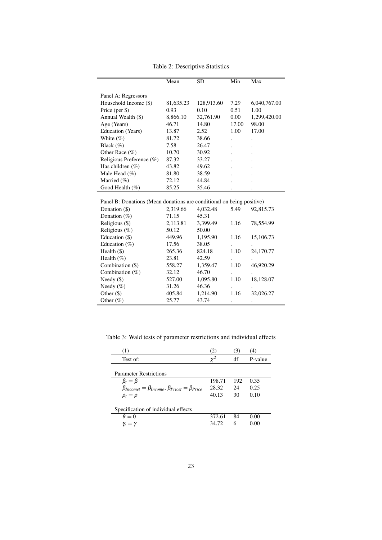|                                                                       | Mean      | SD.        | Min   | Max          |  |  |
|-----------------------------------------------------------------------|-----------|------------|-------|--------------|--|--|
| Panel A: Regressors                                                   |           |            |       |              |  |  |
| Household Income (\$)                                                 | 81,635.23 | 128,913.60 | 7.29  | 6,040,767.00 |  |  |
| Price (per \$)                                                        | 0.93      | 0.10       | 0.51  | 1.00         |  |  |
| Annual Wealth (\$)                                                    | 8,866.10  | 32,761.90  | 0.00  | 1,299,420.00 |  |  |
| Age (Years)                                                           | 46.71     | 14.80      | 17.00 | 98.00        |  |  |
| Education (Years)                                                     | 13.87     | 2.52       | 1.00  | 17.00        |  |  |
| White $(\%)$                                                          | 81.72     | 38.66      |       |              |  |  |
| Black $(\%)$                                                          | 7.58      | 26.47      |       |              |  |  |
| Other Race (%)                                                        | 10.70     | 30.92      |       |              |  |  |
| Religious Preference (%)                                              | 87.32     | 33.27      |       |              |  |  |
| Has children $(\%)$                                                   | 43.82     | 49.62      |       |              |  |  |
| Male Head $(\% )$                                                     | 81.80     | 38.59      |       |              |  |  |
| Married (%)                                                           | 72.12     | 44.84      |       |              |  |  |
| Good Health (%)                                                       | 85.25     | 35.46      |       |              |  |  |
| Panel B: Donations (Mean donations are conditional on being positive) |           |            |       |              |  |  |
| Donation (\$)                                                         | 2,319.66  | 4,032.48   | 5.49  | 92,815.73    |  |  |
| Donation $(\%)$                                                       | 71.15     | 45.31      |       |              |  |  |
| Religious (\$)                                                        | 2,113.81  | 3,399.49   | 1.16  | 78,554.99    |  |  |
| Religious $(\%)$                                                      | 50.12     | 50.00      |       |              |  |  |
| Education (\$)                                                        | 449.96    | 1,195.90   | 1.16  | 15,106.73    |  |  |
| Education $(\%)$                                                      | 17.56     | 38.05      |       |              |  |  |
| Health $(\$)$                                                         | 265.36    | 824.18     | 1.10  | 24,170.77    |  |  |
| Health $(\%)$                                                         | 23.81     | 42.59      |       |              |  |  |
| Combination (\$)                                                      | 558.27    | 1,359.47   | 1.10  | 46,920.29    |  |  |
| Combination $(\%)$                                                    | 32.12     | 46.70      |       |              |  |  |
| Needy $(\$)$                                                          | 527.00    | 1,095.80   | 1.10  | 18,128.07    |  |  |
| Needy $(\%)$                                                          | 31.26     | 46.36      |       |              |  |  |
| Other $(\$)$                                                          | 405.84    | 1,214.90   | 1.16  | 32,026.27    |  |  |
| Other (%)                                                             | 25.77     | 43.74      | ٠     |              |  |  |

Table 2: Descriptive Statistics

Table 3: Wald tests of parameter restrictions and individual effects

| (1)                                                               | (2)      | (3) | (4)     |
|-------------------------------------------------------------------|----------|-----|---------|
| Test of:                                                          | $\chi^2$ | df  | P-value |
|                                                                   |          |     |         |
| <b>Parameter Restrictions</b>                                     |          |     |         |
| $\beta_t = \beta$                                                 | 198.71   | 192 | 0.35    |
| $\beta_{Incomet} = \beta_{Income}, \beta_{Price} = \beta_{Price}$ | 28.32    | 24  | 0.25    |
| $\rho_t = \rho$                                                   | 40.13    | 30  | 0.10    |
|                                                                   |          |     |         |
| Specification of individual effects                               |          |     |         |
| $\theta = 0$                                                      | 372.61   | 84  | 0.00    |
| $\gamma_t = \gamma$                                               | 34.72    | 6   | 0.00    |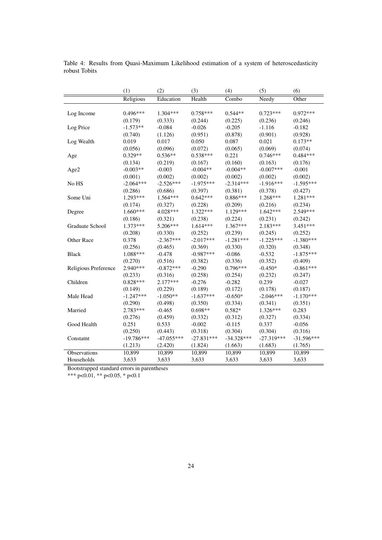|                      | (1)          | (2)          | (3)          | (4)          | (5)          | (6)          |
|----------------------|--------------|--------------|--------------|--------------|--------------|--------------|
|                      | Religious    | Education    | Health       | Combo        | Needy        | Other        |
|                      |              |              |              |              |              |              |
| Log Income           | $0.496***$   | 1.304***     | $0.758***$   | $0.544**$    | $0.723***$   | $0.972***$   |
|                      | (0.179)      | (0.333)      | (0.244)      | (0.225)      | (0.236)      | (0.246)      |
| Log Price            | $-1.573**$   | $-0.084$     | $-0.026$     | $-0.205$     | $-1.116$     | $-0.182$     |
|                      | (0.740)      | (1.126)      | (0.951)      | (0.878)      | (0.901)      | (0.928)      |
| Log Wealth           | 0.019        | 0.017        | 0.050        | 0.087        | 0.021        | $0.173**$    |
|                      | (0.056)      | (0.096)      | (0.072)      | (0.065)      | (0.069)      | (0.074)      |
| Age                  | 0.329**      | $0.536**$    | $0.538***$   | 0.221        | $0.746***$   | $0.484***$   |
|                      | (0.134)      | (0.219)      | (0.167)      | (0.160)      | (0.163)      | (0.176)      |
| Age2                 | $-0.003**$   | $-0.003$     | $-0.004**$   | $-0.004**$   | $-0.007***$  | $-0.001$     |
|                      | (0.001)      | (0.002)      | (0.002)      | (0.002)      | (0.002)      | (0.002)      |
| No HS                | $-2.064***$  | $-2.526***$  | $-1.975***$  | $-2.314***$  | $-1.916***$  | $-1.595***$  |
|                      | (0.286)      | (0.686)      | (0.397)      | (0.381)      | (0.378)      | (0.427)      |
| Some Uni             | 1.293***     | $1.564***$   | $0.642***$   | $0.886***$   | 1.268***     | 1.281***     |
|                      | (0.174)      | (0.327)      | (0.228)      | (0.209)      | (0.216)      | (0.234)      |
| Degree               | 1.660***     | 4.028***     | 1.322***     | 1.129***     | $1.642***$   | 2.549 ***    |
|                      | (0.186)      | (0.321)      | (0.238)      | (0.224)      | (0.231)      | (0.242)      |
| Graduate School      | $1.373***$   | 5.206***     | $1.614***$   | 1.367***     | $2.183***$   | $3.451***$   |
|                      | (0.208)      | (0.330)      | (0.252)      | (0.239)      | (0.245)      | (0.252)      |
| Other Race           | 0.378        | $-2.367***$  | $-2.017***$  | $-1.281***$  | $-1.225***$  | $-1.380***$  |
|                      | (0.256)      | (0.465)      | (0.369)      | (0.330)      | (0.320)      | (0.348)      |
| <b>Black</b>         | 1.088***     | $-0.478$     | $-0.987***$  | $-0.086$     | $-0.532$     | $-1.875***$  |
|                      | (0.270)      | (0.516)      | (0.382)      | (0.336)      | (0.352)      | (0.409)      |
| Religious Preference | 2.940***     | $-0.872***$  | $-0.290$     | $0.796***$   | $-0.450*$    | $-0.861***$  |
|                      | (0.233)      | (0.316)      | (0.258)      | (0.254)      | (0.232)      | (0.247)      |
| Children             | $0.828***$   | $2.177***$   | $-0.276$     | $-0.282$     | 0.239        | $-0.027$     |
|                      | (0.149)      | (0.229)      | (0.189)      | (0.172)      | (0.178)      | (0.187)      |
| Male Head            | $-1.247***$  | $-1.050**$   | $-1.637***$  | $-0.650*$    | $-2.046***$  | $-1.170***$  |
|                      | (0.290)      | (0.498)      | (0.350)      | (0.334)      | (0.341)      | (0.351)      |
| Married              | 2.783***     | $-0.465$     | $0.698**$    | $0.582*$     | $1.326***$   | 0.283        |
|                      | (0.276)      | (0.459)      | (0.332)      | (0.312)      | (0.327)      | (0.334)      |
| Good Health          | 0.251        | 0.533        | $-0.002$     | $-0.115$     | 0.337        | $-0.056$     |
|                      | (0.250)      | (0.443)      | (0.318)      | (0.304)      | (0.304)      | (0.316)      |
| Constatnt            | $-19.786***$ | $-47.055***$ | $-27.831***$ | $-34.328***$ | $-27.319***$ | $-31.596***$ |
|                      | (1.213)      | (2.420)      | (1.824)      | (1.663)      | (1.683)      | (1.765)      |
| Observations         | 10,899       | 10,899       | 10,899       | 10,899       | 10,899       | 10,899       |
| Households           | 3,633        | 3,633        | 3,633        | 3,633        | 3,633        | 3,633        |

Table 4: Results from Quasi-Maximum Likelihood estimation of a system of heteroscedasticity robust Tobits

Bootstrapped standard errors in parentheses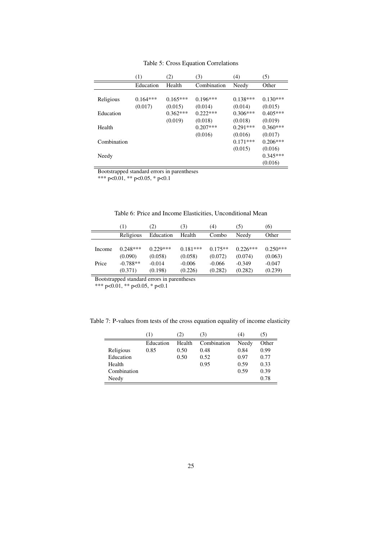|             | (1)        | (2)        | (3)         | (4)        | (5)        |
|-------------|------------|------------|-------------|------------|------------|
|             | Education  | Health     | Combination | Needy      | Other      |
|             |            |            |             |            |            |
| Religious   | $0.164***$ | $0.165***$ | $0.196***$  | $0.138***$ | $0.130***$ |
|             | (0.017)    | (0.015)    | (0.014)     | (0.014)    | (0.015)    |
| Education   |            | $0.362***$ | $0.222***$  | $0.306***$ | $0.405***$ |
|             |            | (0.019)    | (0.018)     | (0.018)    | (0.019)    |
| Health      |            |            | $0.207***$  | $0.291***$ | $0.360***$ |
|             |            |            | (0.016)     | (0.016)    | (0.017)    |
| Combination |            |            |             | $0.171***$ | $0.206***$ |
|             |            |            |             | (0.015)    | (0.016)    |
| Needy       |            |            |             |            | $0.345***$ |
|             |            |            |             |            | (0.016)    |

Table 5: Cross Equation Correlations

Bootstrapped standard errors in parentheses

\*\*\* p<0.01, \*\* p<0.05, \* p<0.1

|        | $\left(1\right)$ | (2)        | (3)        | (4)       | (5)        | (6)        |
|--------|------------------|------------|------------|-----------|------------|------------|
|        | Religious        | Education  | Health     | Combo     | Needy      | Other      |
|        |                  |            |            |           |            |            |
| Income | $0.248***$       | $0.229***$ | $0.181***$ | $0.175**$ | $0.226***$ | $0.250***$ |
|        | (0.090)          | (0.058)    | (0.058)    | (0.072)   | (0.074)    | (0.063)    |
| Price  | $-0.788**$       | $-0.014$   | $-0.006$   | $-0.066$  | $-0.349$   | $-0.047$   |
|        | (0.371)          | (0.198)    | (0.226)    | (0.282)   | (0.282)    | (0.239)    |

Table 6: Price and Income Elasticities, Unconditional Mean

Bootstrapped standard errors in parentheses

Table 7: P-values from tests of the cross equation equality of income elasticity

|             | (1)       | (2)    | (3)         | (4)   | (5)   |
|-------------|-----------|--------|-------------|-------|-------|
|             | Education | Health | Combination | Needy | Other |
| Religious   | 0.85      | 0.50   | 0.48        | 0.84  | 0.99  |
| Education   |           | 0.50   | 0.52        | 0.97  | 0.77  |
| Health      |           |        | 0.95        | 0.59  | 0.33  |
| Combination |           |        |             | 0.59  | 0.39  |
| Needy       |           |        |             |       | 0.78  |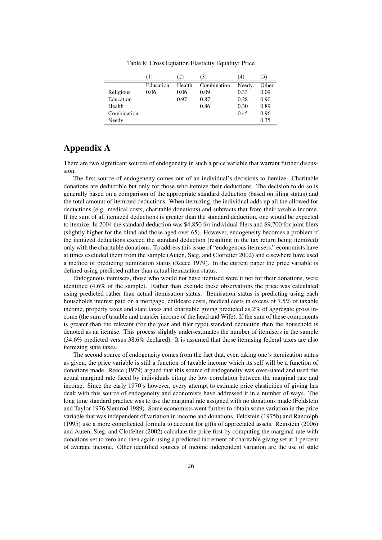|             | (1)       | (2)    | (3)         | 44)   | [C]   |
|-------------|-----------|--------|-------------|-------|-------|
|             | Education | Health | Combination | Needy | Other |
| Religious   | 0.06      | 0.06   | 0.09        | 0.33  | 0.09  |
| Education   |           | 0.97   | 0.87        | 0.28  | 0.90  |
| Health      |           |        | 0.86        | 0.30  | 0.89  |
| Combination |           |        |             | 0.45  | 0.96  |
| Needy       |           |        |             |       | 0.35  |

Table 8: Cross Equation Elasticity Equality: Price

### Appendix A

There are two significant sources of endogeneity in such a price variable that warrant further discussion.

The first source of endogeneity comes out of an individual's decisions to itemize. Charitable donations are deductible but only for those who itemize their deductions. The decision to do so is generally based on a comparison of the appropriate standard deduction (based on filing status) and the total amount of itemized deductions. When itemizing, the individual adds up all the allowed for deductions (e.g. medical costs, charitable donations) and subtracts that from their taxable income. If the sum of all itemized deductions is greater than the standard deduction, one would be expected to itemize. In 2004 the standard deduction was \$4,850 for individual filers and \$9,700 for joint filers (slightly higher for the blind and those aged over 65). However, endogeneity becomes a problem if the itemized deductions exceed the standard deduction (resulting in the tax return being itemized) only with the charitable donations. To address this issue of "endogenous itemisers," economists have at times excluded them from the sample (Auten, Sieg, and Clotfelter 2002) and elsewhere have used a method of predicting itemization status (Reece 1979). In the current paper the price variable is defined using predicted rather than actual itemization status.

Endogenous itemisers, those who would not have itemised were it not for their donations, were identified (4.6% of the sample). Rather than exclude these observations the price was calculated using predicted rather than actual itemisation status. Itemisation status is predicting using each households interest paid on a mortgage, childcare costs, medical costs in excess of 7.5% of taxable income, property taxes and state taxes and charitable giving predicted as 2% of aggregate gross income (the sum of taxable and transfer income of the head and Wife). If the sum of these components is greater than the relevant (for the year and filer type) standard deduction then the household is denoted as an itemise. This process slightly under-estimates the number of itemisers in the sample (34.6% predicted versus 38.6% declared). It is assumed that those itemising federal taxes are also itemizing state taxes.

The second source of endogeneity comes from the fact that, even taking one's itemization status as given, the price variable is still a function of taxable income which its self will be a function of donations made. Reece (1979) argued that this source of endogeneity was over-stated and used the actual marginal rate faced by individuals citing the low correlation between the marginal rate and income. Since the early 1970's however, every attempt to estimate price elasticities of giving has dealt with this source of endogeneity and economists have addressed it in a number of ways. The long time standard practice was to use the marginal rate assigned with no donations made (Feldstein and Taylor 1976 Slemrod 1989). Some economists went further to obtain some variation in the price variable that was independent of variation in income and donations. Feldstein (1975b) and Randolph (1995) use a more complicated formula to account for gifts of appreciated assets. Reinstein (2006) and Auten, Sieg, and Clotfelter (2002) calculate the price first by computing the marginal rate with donations set to zero and then again using a predicted increment of charitable giving set at 1 percent of average income. Other identified sources of income independent variation are the use of state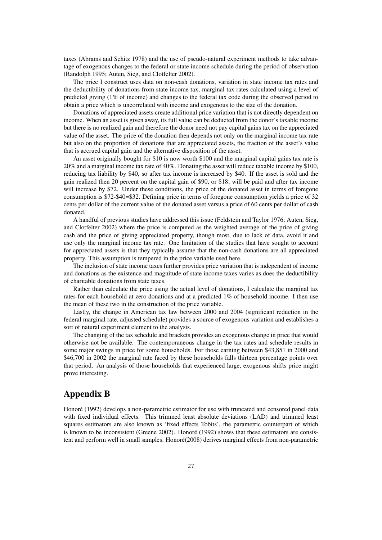taxes (Abrams and Schitz 1978) and the use of pseudo-natural experiment methods to take advantage of exogenous changes to the federal or state income schedule during the period of observation (Randolph 1995; Auten, Sieg, and Clotfelter 2002).

The price I construct uses data on non-cash donations, variation in state income tax rates and the deductibility of donations from state income tax, marginal tax rates calculated using a level of predicted giving (1% of income) and changes to the federal tax code during the observed period to obtain a price which is uncorrelated with income and exogenous to the size of the donation.

Donations of appreciated assets create additional price variation that is not directly dependent on income. When an asset is given away, its full value can be deducted from the donor's taxable income but there is no realized gain and therefore the donor need not pay capital gains tax on the appreciated value of the asset. The price of the donation then depends not only on the marginal income tax rate but also on the proportion of donations that are appreciated assets, the fraction of the asset's value that is accrued capital gain and the alternative disposition of the asset.

An asset originally bought for \$10 is now worth \$100 and the marginal capital gains tax rate is 20% and a marginal income tax rate of 40%. Donating the asset will reduce taxable income by \$100, reducing tax liability by \$40, so after tax income is increased by \$40. If the asset is sold and the gain realized then 20 percent on the capital gain of \$90, or \$18; will be paid and after tax income will increase by \$72. Under these conditions, the price of the donated asset in terms of foregone consumption is \$72-\$40=\$32. Defining price in terms of foregone consumption yields a price of 32 cents per dollar of the current value of the donated asset versus a price of 60 cents per dollar of cash donated.

A handful of previous studies have addressed this issue (Feldstein and Taylor 1976; Auten, Sieg, and Clotfelter 2002) where the price is computed as the weighted average of the price of giving cash and the price of giving appreciated property, though most, due to lack of data, avoid it and use only the marginal income tax rate. One limitation of the studies that have sought to account for appreciated assets is that they typically assume that the non-cash donations are all appreciated property. This assumption is tempered in the price variable used here.

The inclusion of state income taxes further provides price variation that is independent of income and donations as the existence and magnitude of state income taxes varies as does the deductibility of charitable donations from state taxes.

Rather than calculate the price using the actual level of donations, I calculate the marginal tax rates for each household at zero donations and at a predicted 1% of household income. I then use the mean of these two in the construction of the price variable.

Lastly, the change in American tax law between 2000 and 2004 (significant reduction in the federal marginal rate, adjusted schedule) provides a source of exogenous variation and establishes a sort of natural experiment element to the analysis.

The changing of the tax schedule and brackets provides an exogenous change in price that would otherwise not be available. The contemporaneous change in the tax rates and schedule results in some major swings in price for some households. For those earning between \$43,851 in 2000 and \$46,700 in 2002 the marginal rate faced by these households falls thirteen percentage points over that period. An analysis of those households that experienced large, exogenous shifts price might prove interesting.

### Appendix B

Honoré (1992) develops a non-parametric estimator for use with truncated and censored panel data with fixed individual effects. This trimmed least absolute deviations (LAD) and trimmed least squares estimators are also known as 'fixed effects Tobits', the parametric counterpart of which is known to be inconsistent (Greene 2002). Honoré (1992) shows that these estimators are consistent and perform well in small samples. Honoré(2008) derives marginal effects from non-parametric